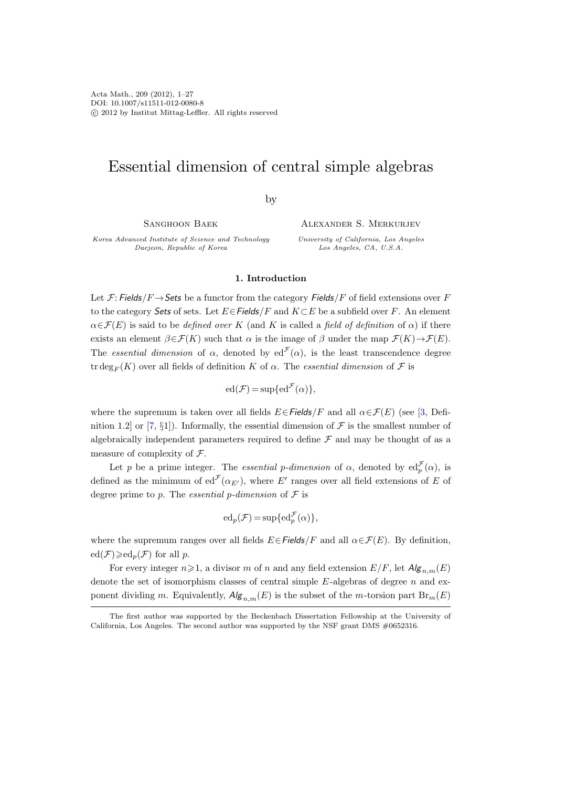# Essential dimension of central simple algebras

by

Sanghoon Baek

Korea Advanced Institute of Science and Technology Daejeon, Republic of Korea

Alexander S. Merkurjev

University of California, Los Angeles Los Angeles, CA, U.S.A.

#### 1. Introduction

Let F: Fields/F  $\rightarrow$  Sets be a functor from the category Fields/F of field extensions over F to the category Sets of sets. Let  $E \in$  Fields/F and  $K \subset E$  be a subfield over F. An element  $\alpha \in \mathcal{F}(E)$  is said to be *defined over* K (and K is called a *field of definition* of  $\alpha$ ) if there exists an element  $\beta \in \mathcal{F}(K)$  such that  $\alpha$  is the image of  $\beta$  under the map  $\mathcal{F}(K) \rightarrow \mathcal{F}(E)$ . The essential dimension of  $\alpha$ , denoted by ed<sup> $\mathcal{F}(\alpha)$ </sup>, is the least transcendence degree tr deg<sub>F</sub> (K) over all fields of definition K of  $\alpha$ . The essential dimension of F is

$$
ed(\mathcal{F}) = \sup\{ed^{\mathcal{F}}(\alpha)\},
$$

where the supremum is taken over all fields  $E \in Fields/F$  and all  $\alpha \in \mathcal{F}(E)$  (see [\[3,](#page-25-0) Defi-nition 1.2] or [\[7,](#page-26-0) §1]). Informally, the essential dimension of  $\mathcal F$  is the smallest number of algebraically independent parameters required to define  $\mathcal F$  and may be thought of as a measure of complexity of F.

Let p be a prime integer. The *essential p-dimension* of  $\alpha$ , denoted by  $ed_p^{\mathcal{F}}(\alpha)$ , is defined as the minimum of  $ed^{\mathcal{F}}(\alpha_{E'})$ , where E' ranges over all field extensions of E of degree prime to p. The *essential* p-dimension of  $\mathcal F$  is

$$
ed_p(\mathcal{F}) = \sup\{ed_p^{\mathcal{F}}(\alpha)\},
$$

where the supremum ranges over all fields  $E \in \text{Fields}/F$  and all  $\alpha \in \mathcal{F}(E)$ . By definition,  $ed(\mathcal{F}) \geqslant ed_n(\mathcal{F})$  for all p.

For every integer  $n\geqslant 1$ , a divisor m of n and any field extension  $E/F$ , let  $Alg_{n,m}(E)$ denote the set of isomorphism classes of central simple  $E$ -algebras of degree n and exponent dividing m. Equivalently,  $\mathcal{A}(\mathcal{g}_{n,m}(E))$  is the subset of the m-torsion part  $\text{Br}_m(E)$ 

The first author was supported by the Beckenbach Dissertation Fellowship at the University of California, Los Angeles. The second author was supported by the NSF grant DMS #0652316.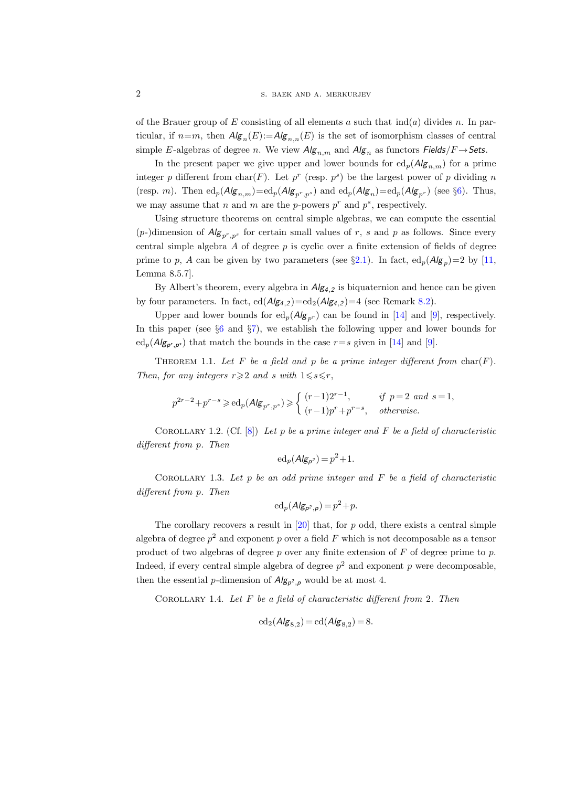of the Brauer group of E consisting of all elements a such that  $\text{ind}(a)$  divides n. In particular, if  $n=m$ , then  $Alg_n(E)=Alg_{n,n}(E)$  is the set of isomorphism classes of central simple E-algebras of degree n. We view  $Alg_{n,m}$  and  $Alg_n$  as functors  $Fields/F \rightarrow Sets$ .

In the present paper we give upper and lower bounds for  $ed_p(A/g_{n,m})$  for a prime integer p different from char(F). Let  $p^r$  (resp.  $p^s$ ) be the largest power of p dividing n (resp. m). Then  $ed_p(A/g_{n,m})=ed_p(A/g_{p^r,p^s})$  and  $ed_p(A/g_n)=ed_p(A/g_{p^r})$  (see §[6\)](#page-21-0). Thus, we may assume that n and m are the p-powers  $p^r$  and  $p^s$ , respectively.

Using structure theorems on central simple algebras, we can compute the essential  $(p-)$ dimension of  $Alg_{p^r,p^s}$  for certain small values of r, s and p as follows. Since every central simple algebra  $A$  of degree  $p$  is cyclic over a finite extension of fields of degree prime to p, A can be given by two parameters (see  $\S 2.1$ ). In fact,  $ed_p(Alg_p)=2$  by [\[11,](#page-26-1) Lemma 8.5.7].

By Albert's theorem, every algebra in  $Alg_{4,2}$  is biquaternion and hence can be given by four parameters. In fact,  $ed(A/g_{4,2})=ed_2(A/g_{4,2})=4$  (see Remark [8.2\)](#page-25-1).

Upper and lower bounds for  $ed_p(\mathcal{A/g}_{p^r})$  can be found in [\[14\]](#page-26-2) and [\[9\]](#page-26-3), respectively. In this paper (see §[6](#page-21-0) and §[7\)](#page-22-0), we establish the following upper and lower bounds for  $\mathrm{ed}_{p}(Alg_{p',p^{s}})$  that match the bounds in the case  $r=s$  given in [\[14\]](#page-26-2) and [\[9\]](#page-26-3).

THEOREM 1.1. Let F be a field and p be a prime integer different from  $char(F)$ . Then, for any integers  $r \geqslant 2$  and s with  $1 \leqslant s \leqslant r$ ,

$$
p^{2r-2}+p^{r-s}\geqslant \mathrm{ed}_p(\mathsf{Alg}_{p^r,p^s})\geqslant \left\{\begin{array}{ll} (r-1)2^{r-1},&\text{if }p=2\text{ and }s=1,\\ (r-1)p^r+p^{r-s},&\text{otherwise.}\end{array}\right.
$$

COROLLARY 1.2. (Cf.  $[8]$ ) Let p be a prime integer and F be a field of characteristic different from p. Then

$$
\mathrm{ed}_p(\mathsf{Alg}_{p^2}) = p^2 + 1.
$$

COROLLARY 1.3. Let  $p$  be an odd prime integer and  $F$  be a field of characteristic different from p. Then

$$
\mathrm{ed}_p(\mathsf{Alg}_{p^2,p}) = p^2 + p.
$$

The corollary recovers a result in  $[20]$  that, for p odd, there exists a central simple algebra of degree  $p^2$  and exponent p over a field F which is not decomposable as a tensor product of two algebras of degree p over any finite extension of  $F$  of degree prime to p. Indeed, if every central simple algebra of degree  $p^2$  and exponent p were decomposable, then the essential *p*-dimension of  $Alg_{p^2,p}$  would be at most 4.

COROLLARY 1.4. Let  $F$  be a field of characteristic different from 2. Then

$$
\mathrm{ed}_2(\mathcal{A/g}_{8,2}) = \mathrm{ed}(\mathcal{A/g}_{8,2}) = 8.
$$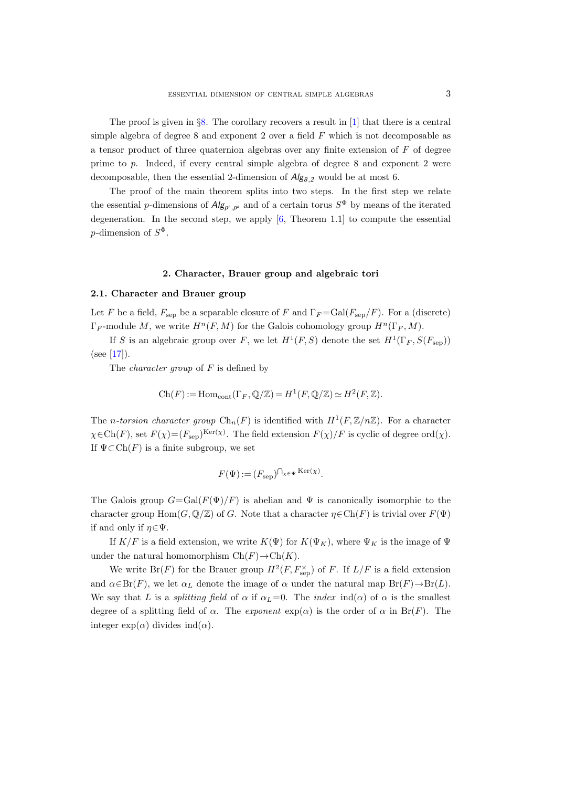The proof is given in  $\S 8$ . The corollary recovers a result in [\[1\]](#page-25-2) that there is a central simple algebra of degree 8 and exponent 2 over a field  $F$  which is not decomposable as a tensor product of three quaternion algebras over any finite extension of  $F$  of degree prime to p. Indeed, if every central simple algebra of degree 8 and exponent 2 were decomposable, then the essential 2-dimension of  $Alg_{8,2}$  would be at most 6.

The proof of the main theorem splits into two steps. In the first step we relate the essential p-dimensions of  $Alg_{p',p^s}$  and of a certain torus  $S^{\Phi}$  by means of the iterated degeneration. In the second step, we apply [\[6,](#page-26-6) Theorem 1.1] to compute the essential p-dimension of  $S^{\Phi}$ .

# 2. Character, Brauer group and algebraic tori

### <span id="page-2-0"></span>2.1. Character and Brauer group

Let F be a field,  $F_{\text{sep}}$  be a separable closure of F and  $\Gamma_F = \text{Gal}(F_{\text{sep}}/F)$ . For a (discrete)  $\Gamma_F$ -module M, we write  $H^n(F, M)$  for the Galois cohomology group  $H^n(\Gamma_F, M)$ .

If S is an algebraic group over F, we let  $H^1(F, S)$  denote the set  $H^1(\Gamma_F, S(F_{\text{sep}}))$  $(see [17]).$  $(see [17]).$  $(see [17]).$ 

The *character group* of  $F$  is defined by

$$
Ch(F) := Hom_{cont}(\Gamma_F, \mathbb{Q}/\mathbb{Z}) = H^1(F, \mathbb{Q}/\mathbb{Z}) \simeq H^2(F, \mathbb{Z}).
$$

The *n*-torsion character group  $\text{Ch}_n(F)$  is identified with  $H^1(F,\mathbb{Z}/n\mathbb{Z})$ . For a character  $\chi \in \text{Ch}(F)$ , set  $F(\chi) = (F_{\text{sep}})^{\text{Ker}(\chi)}$ . The field extension  $F(\chi)/F$  is cyclic of degree ord $(\chi)$ . If  $\Psi \subset \mathrm{Ch}(F)$  is a finite subgroup, we set

$$
F(\Psi) := (F_{\text{sep}})^{\bigcap_{\chi \in \Psi} \text{Ker}(\chi)}.
$$

The Galois group  $G = \text{Gal}(F(\Psi)/F)$  is abelian and  $\Psi$  is canonically isomorphic to the character group  $\text{Hom}(G, \mathbb{Q}/\mathbb{Z})$  of G. Note that a character  $\eta \in \text{Ch}(F)$  is trivial over  $F(\Psi)$ if and only if  $\eta \in \Psi$ .

If  $K/F$  is a field extension, we write  $K(\Psi)$  for  $K(\Psi_K)$ , where  $\Psi_K$  is the image of  $\Psi$ under the natural homomorphism  $\text{Ch}(F) \to \text{Ch}(K)$ .

We write  $Br(F)$  for the Brauer group  $H^2(F, F_{\text{sep}}^{\times})$  of F. If  $L/F$  is a field extension and  $\alpha \in Br(F)$ , we let  $\alpha_L$  denote the image of  $\alpha$  under the natural map  $Br(F) \to Br(L)$ . We say that L is a *splitting field* of  $\alpha$  if  $\alpha_L=0$ . The *index* ind( $\alpha$ ) of  $\alpha$  is the smallest degree of a splitting field of  $\alpha$ . The *exponent*  $\exp(\alpha)$  is the order of  $\alpha$  in Br(F). The integer  $\exp(\alpha)$  divides  $\text{ind}(\alpha)$ .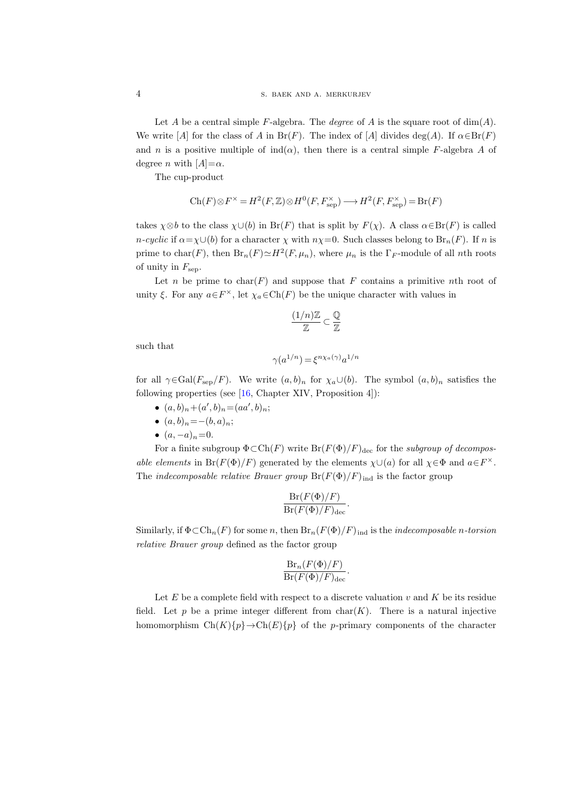Let A be a central simple F-algebra. The *degree* of A is the square root of  $\dim(A)$ . We write [A] for the class of A in Br(F). The index of [A] divides deg(A). If  $\alpha \in \text{Br}(F)$ and n is a positive multiple of  $\text{ind}(\alpha)$ , then there is a central simple F-algebra A of degree *n* with  $[A]=\alpha$ .

The cup-product

$$
\operatorname{Ch}(F)\otimes F^\times = H^2(F,\mathbb{Z})\otimes H^0(F,F_{\text{sep}}^\times)\longrightarrow H^2(F,F_{\text{sep}}^\times)=\operatorname{Br}(F)
$$

takes  $\chi \otimes b$  to the class  $\chi \cup (b)$  in Br(F) that is split by  $F(\chi)$ . A class  $\alpha \in \text{Br}(F)$  is called  $n$ -cyclic if  $\alpha = \chi \cup (b)$  for a character  $\chi$  with  $n\chi = 0$ . Such classes belong to  $\text{Br}_n(F)$ . If n is prime to char(F), then  $\text{Br}_n(F) \simeq H^2(F, \mu_n)$ , where  $\mu_n$  is the  $\Gamma_F$ -module of all nth roots of unity in  $F_{\rm sep}$ .

Let n be prime to  $char(F)$  and suppose that F contains a primitive nth root of unity  $\xi$ . For any  $a \in F^{\times}$ , let  $\chi_a \in \text{Ch}(F)$  be the unique character with values in

$$
\frac{(1/n)\mathbb{Z}}{\mathbb{Z}}\subset \frac{\mathbb{Q}}{\mathbb{Z}}
$$

such that

$$
\gamma(a^{1/n}) = \xi^{n\chi_a(\gamma)} a^{1/n}
$$

for all  $\gamma \in \text{Gal}(F_{\text{sep}}/F)$ . We write  $(a, b)_n$  for  $\chi_a \cup (b)$ . The symbol  $(a, b)_n$  satisfies the following properties (see [\[16,](#page-26-8) Chapter XIV, Proposition 4]):

- $(a, b)_n + (a', b)_n = (aa', b)_n;$
- $(a, b)_n = -(b, a)_n;$
- $(a, -a)_n = 0$ .

For a finite subgroup  $\Phi \subset Ch(F)$  write  $Br(F(\Phi)/F)_{\text{dec}}$  for the *subgroup of decompos*able elements in Br( $F(\Phi)/F$ ) generated by the elements  $\chi \cup (a)$  for all  $\chi \in \Phi$  and  $a \in F^{\times}$ . The *indecomposable relative Brauer group*  $Br(F(\Phi)/F)_{ind}$  is the factor group

$$
\frac{\mathrm{Br}(F(\Phi)/F)}{\mathrm{Br}(F(\Phi)/F)_{\mathrm{dec}}}.
$$

Similarly, if  $\Phi \subset \mathrm{Ch}_n(F)$  for some n, then  $\mathrm{Br}_n(F(\Phi)/F)_{\text{ind}}$  is the *indecomposable n-torsion* relative Brauer group defined as the factor group

$$
\frac{\mathrm{Br}_n(F(\Phi)/F)}{\mathrm{Br}(F(\Phi)/F)_{\text{dec}}}.
$$

Let  $E$  be a complete field with respect to a discrete valuation  $v$  and  $K$  be its residue field. Let p be a prime integer different from  $char(K)$ . There is a natural injective homomorphism  $Ch(K){p} \rightarrow Ch(E){p}$  of the p-primary components of the character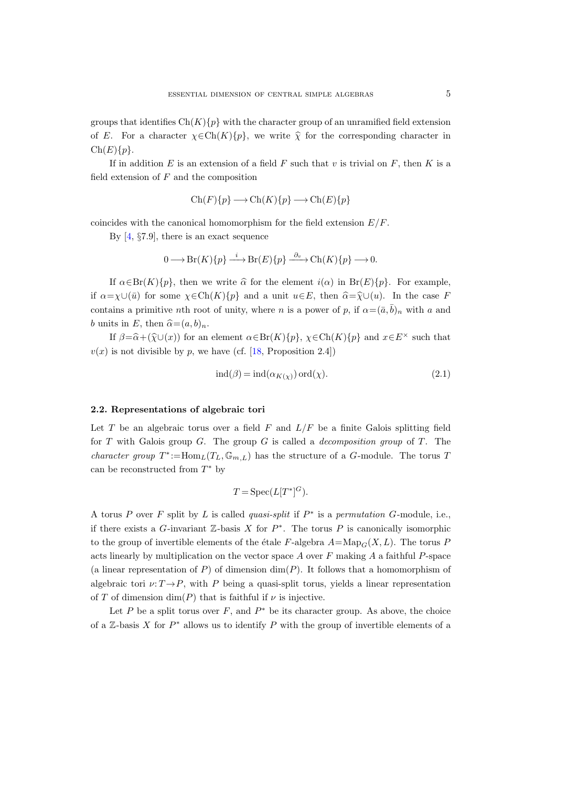groups that identifies  $Ch(K){p}$  with the character group of an unramified field extension of E. For a character  $\chi \in \text{Ch}(K)\{p\}$ , we write  $\hat{\chi}$  for the corresponding character in  $Ch(E){p}.$ 

If in addition  $E$  is an extension of a field  $F$  such that  $v$  is trivial on  $F$ , then  $K$  is a field extension of  $F$  and the composition

$$
\text{Ch}(F)\{p\} \longrightarrow \text{Ch}(K)\{p\} \longrightarrow \text{Ch}(E)\{p\}
$$

coincides with the canonical homomorphism for the field extension  $E/F$ .

By [\[4,](#page-25-3) §7.9], there is an exact sequence

$$
0 \longrightarrow Br(K)\{p\} \xrightarrow{i} Br(E)\{p\} \xrightarrow{\partial_v} Ch(K)\{p\} \longrightarrow 0.
$$

If  $\alpha \in Br(K){p}$ , then we write  $\hat{\alpha}$  for the element  $i(\alpha)$  in  $Br(E){p}$ . For example, if  $\alpha = \chi \cup (\bar{u})$  for some  $\chi \in \text{Ch}(K)\{p\}$  and a unit  $u \in E$ , then  $\widehat{\alpha} = \widehat{\chi} \cup (u)$ . In the case F contains a primitive nth root of unity, where n is a power of p, if  $\alpha = (\bar{a}, \bar{b})_n$  with a and b units in E, then  $\hat{\alpha}=(a, b)_n$ .

If  $\beta = \widehat{\alpha} + (\widehat{\chi} \cup (x))$  for an element  $\alpha \in \text{Br}(K)\{p\}$ ,  $\chi \in \text{Ch}(K)\{p\}$  and  $x \in E^{\times}$  such that  $v(x)$  is not divisible by p, we have (cf. [\[18,](#page-26-9) Proposition 2.4])

<span id="page-4-0"></span>
$$
ind(\beta) = ind(\alpha_{K(\chi)}) ord(\chi).
$$
 (2.1)

#### <span id="page-4-1"></span>2.2. Representations of algebraic tori

Let  $T$  be an algebraic torus over a field  $F$  and  $L/F$  be a finite Galois splitting field for T with Galois group  $G$ . The group  $G$  is called a *decomposition group* of T. The *character group*  $T^* := \text{Hom}_L(T_L, \mathbb{G}_{m,L})$  has the structure of a G-module. The torus T can be reconstructed from  $T^*$  by

$$
T = \operatorname{Spec}(L[T^*]^G).
$$

A torus P over F split by L is called quasi-split if  $P^*$  is a permutation G-module, i.e., if there exists a G-invariant  $\mathbb{Z}$ -basis X for  $P^*$ . The torus P is canonically isomorphic to the group of invertible elements of the étale F-algebra  $A=\text{Map}_G(X, L)$ . The torus P acts linearly by multiplication on the vector space  $A$  over  $F$  making  $A$  a faithful  $P$ -space (a linear representation of  $P$ ) of dimension  $\dim(P)$ . It follows that a homomorphism of algebraic tori  $\nu: T \rightarrow P$ , with P being a quasi-split torus, yields a linear representation of T of dimension  $\dim(P)$  that is faithful if  $\nu$  is injective.

Let P be a split torus over F, and  $P^*$  be its character group. As above, the choice of a  $\mathbb{Z}$ -basis X for  $P^*$  allows us to identify P with the group of invertible elements of a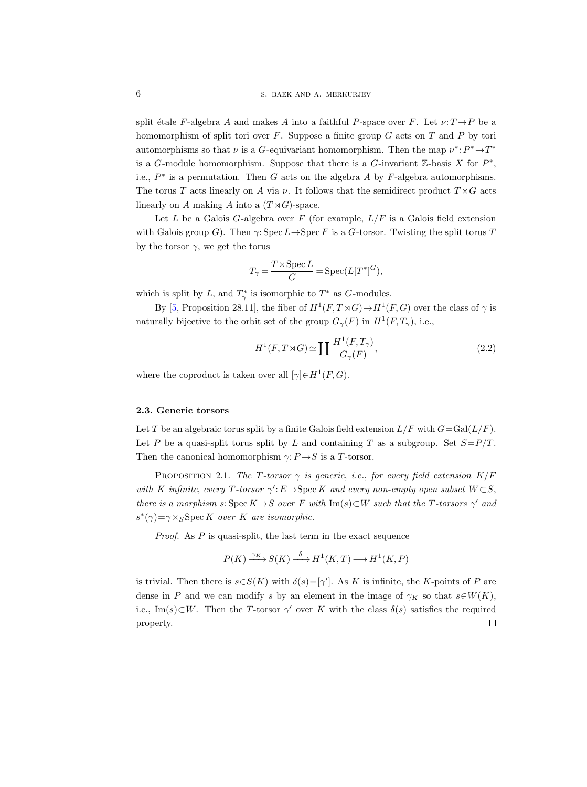split étale F-algebra A and makes A into a faithful P-space over F. Let  $\nu: T \rightarrow P$  be a homomorphism of split tori over  $F$ . Suppose a finite group  $G$  acts on  $T$  and  $P$  by tori automorphisms so that  $\nu$  is a G-equivariant homomorphism. Then the map  $\nu^*: P^* \to T^*$ is a G-module homomorphism. Suppose that there is a G-invariant  $\mathbb{Z}$ -basis X for  $P^*$ , i.e.,  $P^*$  is a permutation. Then G acts on the algebra A by F-algebra automorphisms. The torus T acts linearly on A via  $\nu$ . It follows that the semidirect product  $T \rtimes G$  acts linearly on A making A into a  $(T \rtimes G)$ -space.

Let  $L$  be a Galois  $G$ -algebra over  $F$  (for example,  $L/F$  is a Galois field extension with Galois group G). Then  $\gamma: \operatorname{Spec} L \to \operatorname{Spec} F$  is a G-torsor. Twisting the split torus T by the torsor  $\gamma$ , we get the torus

$$
T_\gamma = \frac{T \times \operatorname{Spec} L}{G} = \operatorname{Spec}(L[T^*]^G),
$$

which is split by L, and  $T^*_{\gamma}$  is isomorphic to  $T^*$  as G-modules.

By [\[5,](#page-26-10) Proposition 28.11], the fiber of  $H^1(F, T \rtimes G) \to H^1(F, G)$  over the class of  $\gamma$  is naturally bijective to the orbit set of the group  $G_{\gamma}(F)$  in  $H^1(F, T_{\gamma})$ , i.e.,

<span id="page-5-2"></span>
$$
H^{1}(F, T \rtimes G) \simeq \coprod \frac{H^{1}(F, T_{\gamma})}{G_{\gamma}(F)},
$$
\n(2.2)

where the coproduct is taken over all  $[\gamma] \in H^1(F, G)$ .

# <span id="page-5-0"></span>2.3. Generic torsors

Let T be an algebraic torus split by a finite Galois field extension  $L/F$  with  $G = \text{Gal}(L/F)$ . Let P be a quasi-split torus split by L and containing T as a subgroup. Set  $S = P/T$ . Then the canonical homomorphism  $\gamma: P \rightarrow S$  is a T-torsor.

<span id="page-5-1"></span>PROPOSITION 2.1. The T-torsor  $\gamma$  is generic, i.e., for every field extension  $K/F$ with K infinite, every T-torsor  $\gamma' : E \to \text{Spec } K$  and every non-empty open subset  $W \subset S$ , there is a morphism s: Spec  $K \rightarrow S$  over F with  $\text{Im}(s) \subset W$  such that the T-torsors  $\gamma'$  and  $s^*(\gamma) = \gamma \times_S \text{Spec } K$  over K are isomorphic.

Proof. As P is quasi-split, the last term in the exact sequence

$$
P(K) \xrightarrow{\gamma_K} S(K) \xrightarrow{\delta} H^1(K, T) \longrightarrow H^1(K, P)
$$

is trivial. Then there is  $s \in S(K)$  with  $\delta(s) = [\gamma']$ . As K is infinite, the K-points of P are dense in P and we can modify s by an element in the image of  $\gamma_K$  so that  $s \in W(K)$ , i.e., Im(s)⊂W. Then the T-torsor  $\gamma'$  over K with the class  $\delta(s)$  satisfies the required property. $\Box$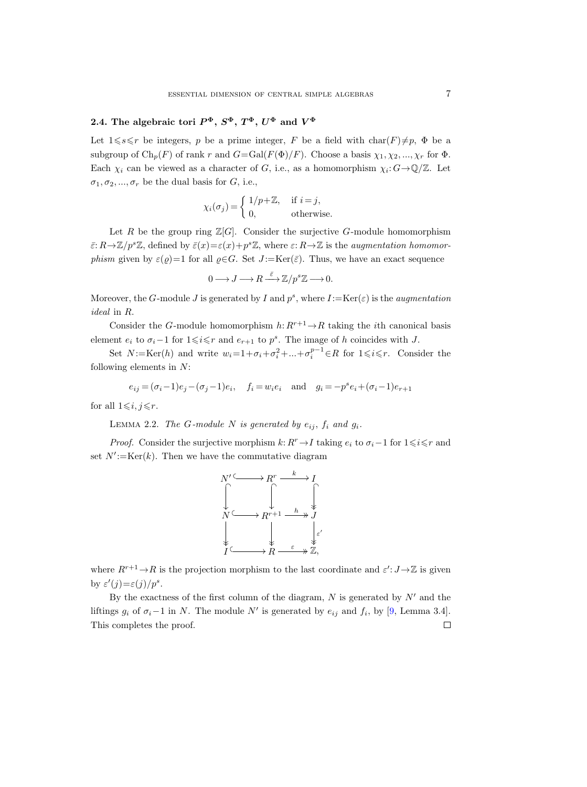# <span id="page-6-1"></span>2.4. The algebraic tori  $P^{\Phi}, S^{\Phi}, T^{\Phi}, U^{\Phi}$  and  $V^{\Phi}$

Let  $1\leq s\leq r$  be integers, p be a prime integer, F be a field with char(F) $\neq p$ ,  $\Phi$  be a subgroup of  $\text{Ch}_p(F)$  of rank r and  $G=\text{Gal}(F(\Phi)/F)$ . Choose a basis  $\chi_1, \chi_2, ..., \chi_r$  for  $\Phi$ . Each  $\chi_i$  can be viewed as a character of G, i.e., as a homomorphism  $\chi_i: G \to \mathbb{Q}/\mathbb{Z}$ . Let  $\sigma_1, \sigma_2, ..., \sigma_r$  be the dual basis for G, i.e.,

$$
\chi_i(\sigma_j) = \begin{cases} 1/p + \mathbb{Z}, & \text{if } i = j, \\ 0, & \text{otherwise.} \end{cases}
$$

Let R be the group ring  $\mathbb{Z}[G]$ . Consider the surjective G-module homomorphism  $\bar{\varepsilon}: R\to \mathbb{Z}/p^s\mathbb{Z}$ , defined by  $\bar{\varepsilon}(x)=\varepsilon(x)+p^s\mathbb{Z}$ , where  $\varepsilon: R\to \mathbb{Z}$  is the *augmentation homomorphism* given by  $\varepsilon(\varrho)=1$  for all  $\varrho \in G$ . Set  $J := \text{Ker}(\bar{\varepsilon})$ . Thus, we have an exact sequence

$$
0 \longrightarrow J \longrightarrow R \stackrel{\bar{\varepsilon}}{\longrightarrow} \mathbb{Z}/p^s \mathbb{Z} \longrightarrow 0.
$$

Moreover, the G-module J is generated by I and  $p^s$ , where  $I := \text{Ker}(\varepsilon)$  is the *augmentation* ideal in R.

Consider the G-module homomorphism  $h: R^{r+1} \to R$  taking the *i*th canonical basis element  $e_i$  to  $\sigma_i-1$  for  $1\leq i\leq r$  and  $e_{r+1}$  to  $p^s$ . The image of h coincides with J.

Set  $N:=\text{Ker}(h)$  and write  $w_i=1+\sigma_i+\sigma_i^2+\ldots+\sigma_i^{p-1}\in R$  for  $1\leq i\leq r$ . Consider the following elements in  $N$ :

$$
e_{ij}=(\sigma_i-1)e_j-(\sigma_j-1)e_i,\quad f_i=w_ie_i\quad\text{and}\quad g_i=-p^se_i+(\sigma_i-1)e_{r+1}
$$

<span id="page-6-0"></span>for all  $1\leq i, j \leq r$ .

LEMMA 2.2. The G-module N is generated by  $e_{ij}$ ,  $f_i$  and  $g_i$ .

*Proof.* Consider the surjective morphism  $k: R^r \to I$  taking  $e_i$  to  $\sigma_i-1$  for  $1 \leq i \leq r$  and set  $N' := \text{Ker}(k)$ . Then we have the commutative diagram



where  $R^{r+1} \to R$  is the projection morphism to the last coordinate and  $\varepsilon' : J \to \mathbb{Z}$  is given by  $\varepsilon'(j) = \varepsilon(j)/p^s$ .

By the exactness of the first column of the diagram,  $N$  is generated by  $N'$  and the liftings  $g_i$  of  $\sigma_i-1$  in N. The module N' is generated by  $e_{ij}$  and  $f_i$ , by [\[9,](#page-26-3) Lemma 3.4]. This completes the proof. $\Box$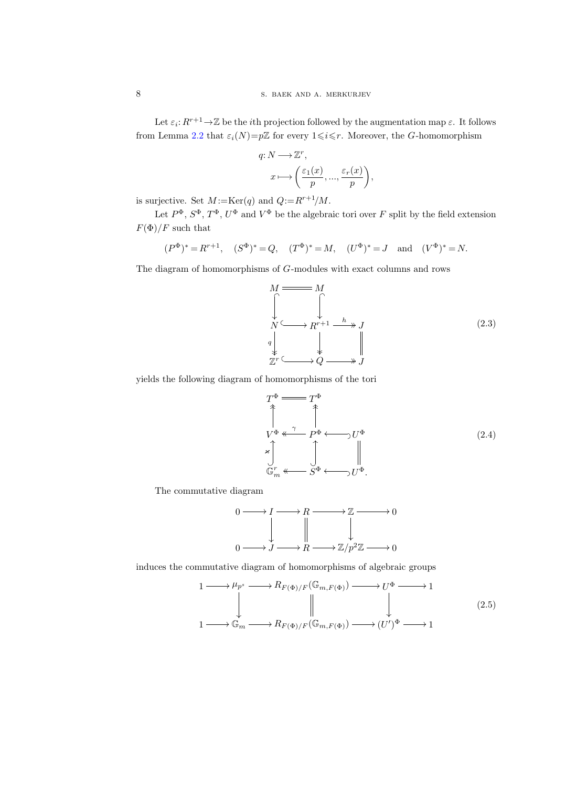Let  $\varepsilon_i: R^{r+1} \to \mathbb{Z}$  be the *i*th projection followed by the augmentation map  $\varepsilon$ . It follows from Lemma [2.2](#page-6-0) that  $\varepsilon_i(N)=p\mathbb{Z}$  for every  $1\leq i\leq r$ . Moreover, the G-homomorphism

$$
\begin{aligned} q\colon&N\longrightarrow\mathbb{Z}^r,\\ x&\longmapsto\bigg(\frac{\varepsilon_1(x)}{p},...,\frac{\varepsilon_r(x)}{p}\bigg),\end{aligned}
$$

is surjective. Set  $M = \text{Ker}(q)$  and  $Q = R^{r+1}/M$ .

Let  $P^{\Phi}, S^{\Phi}, T^{\Phi}, U^{\Phi}$  and  $V^{\Phi}$  be the algebraic tori over F split by the field extension  $F(\Phi)/F$  such that

$$
(P^{\Phi})^* = R^{r+1}
$$
,  $(S^{\Phi})^* = Q$ ,  $(T^{\Phi})^* = M$ ,  $(U^{\Phi})^* = J$  and  $(V^{\Phi})^* = N$ .

<span id="page-7-1"></span>The diagram of homomorphisms of G-modules with exact columns and rows

$$
M \longrightarrow M
$$
\n
$$
\downarrow \qquad \qquad \downarrow
$$
\n
$$
N \longrightarrow R^{r+1} \longrightarrow J
$$
\n
$$
\downarrow \qquad \qquad \downarrow
$$
\n
$$
\downarrow \qquad \qquad \downarrow
$$
\n
$$
\mathbb{Z}^r \longrightarrow Q \longrightarrow J
$$
\n(2.3)

<span id="page-7-0"></span>yields the following diagram of homomorphisms of the tori

$$
T^{\Phi} \xrightarrow{\pi} T^{\Phi}
$$
\n
$$
\uparrow \qquad \uparrow
$$
\n
$$
V^{\Phi} \xleftarrow{\gamma} P^{\Phi} \longleftarrow U^{\Phi}
$$
\n
$$
\downarrow \qquad \qquad \downarrow \qquad \qquad \downarrow
$$
\n
$$
\downarrow \qquad \qquad \downarrow \qquad \qquad \downarrow
$$
\n
$$
\mathbb{G}_m^r \xleftarrow{\pi} S^{\Phi} \longleftarrow U^{\Phi}.
$$
\n(2.4)

The commutative diagram

$$
0 \longrightarrow I \longrightarrow R \longrightarrow \mathbb{Z} \longrightarrow 0
$$
  

$$
\downarrow \qquad \qquad \downarrow \qquad \qquad \downarrow
$$
  

$$
0 \longrightarrow J \longrightarrow R \longrightarrow \mathbb{Z}/p^2\mathbb{Z} \longrightarrow 0
$$

<span id="page-7-2"></span>induces the commutative diagram of homomorphisms of algebraic groups

$$
\begin{array}{ccc}\n1 & \longrightarrow \mu_{p^s} \longrightarrow R_{F(\Phi)/F}(\mathbb{G}_{m,F(\Phi)}) \longrightarrow U^{\Phi} \longrightarrow 1 \\
\downarrow & & \downarrow & \downarrow & \downarrow & \downarrow \\
1 & \longrightarrow \mathbb{G}_m \longrightarrow R_{F(\Phi)/F}(\mathbb{G}_{m,F(\Phi)}) \longrightarrow (U')^{\Phi} \longrightarrow 1\n\end{array}
$$
\n
$$
(2.5)
$$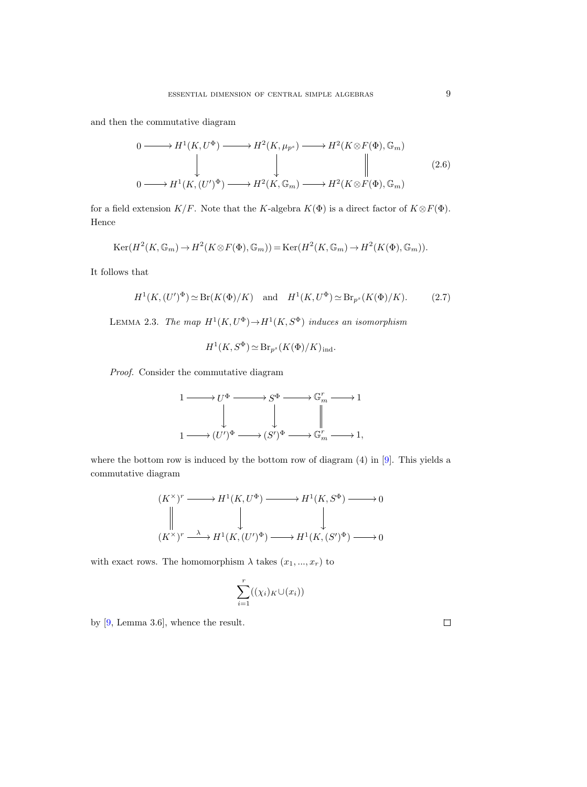<span id="page-8-2"></span>and then the commutative diagram

$$
0 \longrightarrow H^{1}(K, U^{\Phi}) \longrightarrow H^{2}(K, \mu_{p^{s}}) \longrightarrow H^{2}(K \otimes F(\Phi), \mathbb{G}_{m})
$$
  
\n
$$
\downarrow \qquad \qquad \downarrow \qquad \qquad \downarrow \qquad \qquad \downarrow \qquad \qquad \parallel \qquad (2.6)
$$
  
\n
$$
0 \longrightarrow H^{1}(K, (U')^{\Phi}) \longrightarrow H^{2}(K, \mathbb{G}_{m}) \longrightarrow H^{2}(K \otimes F(\Phi), \mathbb{G}_{m})
$$

for a field extension  $K/F$ . Note that the K-algebra  $K(\Phi)$  is a direct factor of  $K \otimes F(\Phi)$ . Hence

$$
\operatorname{Ker}(H^2(K, \mathbb{G}_m) \to H^2(K \otimes F(\Phi), \mathbb{G}_m)) = \operatorname{Ker}(H^2(K, \mathbb{G}_m) \to H^2(K(\Phi), \mathbb{G}_m)).
$$

It follows that

<span id="page-8-0"></span>
$$
H^1(K,(U')^{\Phi}) \simeq \text{Br}(K(\Phi)/K) \quad \text{and} \quad H^1(K, U^{\Phi}) \simeq \text{Br}_{p^s}(K(\Phi)/K). \tag{2.7}
$$

<span id="page-8-1"></span>LEMMA 2.3. The map  $H^1(K, U^{\Phi}) \to H^1(K, S^{\Phi})$  induces an isomorphism

$$
H^1(K, S^{\Phi}) \simeq \text{Br}_{p^s}(K(\Phi)/K)_{\text{ind}}.
$$

Proof. Consider the commutative diagram

$$
\begin{CD} 1 @>>> U^\Phi @>>> S^\Phi @>>> \mathbb{G}_m^r @>>> 1 \\ @. @. @. @. @. @. @. \\ 1 @>>> (U')^\Phi @>>> (S')^\Phi @>>> \mathbb{G}_m^r @>>> 1, \\ \end{CD}
$$

where the bottom row is induced by the bottom row of diagram (4) in [\[9\]](#page-26-3). This yields a commutative diagram

$$
(K^{\times})^r \xrightarrow{\hspace{0.5cm}} H^1(K, U^{\Phi}) \xrightarrow{\hspace{0.5cm}} H^1(K, S^{\Phi}) \xrightarrow{\hspace{0.5cm}} 0
$$
  

$$
\parallel \qquad \qquad \downarrow \qquad \qquad \downarrow
$$
  

$$
(K^{\times})^r \xrightarrow{\hspace{0.5cm}} H^1(K, (U')^{\Phi}) \xrightarrow{\hspace{0.5cm}} H^1(K, (S')^{\Phi}) \xrightarrow{\hspace{0.5cm}} 0
$$

with exact rows. The homomorphism  $\lambda$  takes  $(x_1, ..., x_r)$  to

$$
\sum_{i=1}^r ((\chi_i)_K \cup (x_i))
$$

by [\[9,](#page-26-3) Lemma 3.6], whence the result.

 $\hfill \square$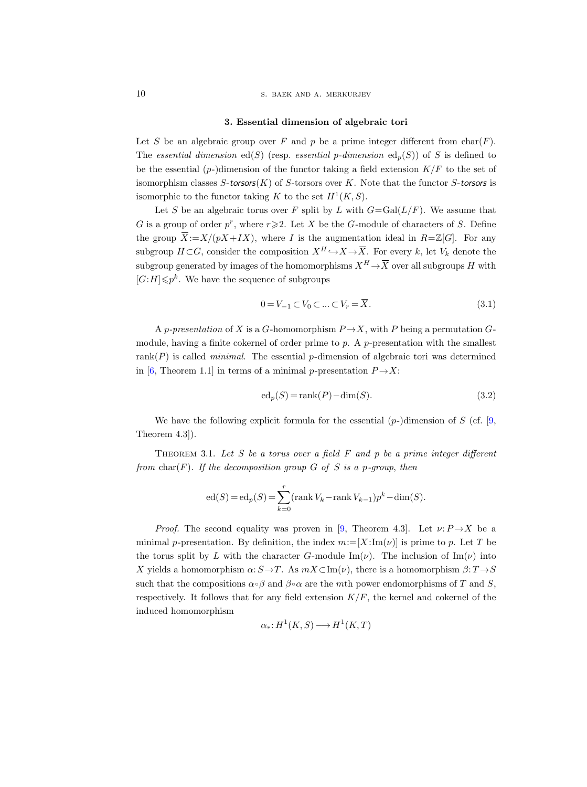10 S. BAEK AND A. MERKURJEV

#### 3. Essential dimension of algebraic tori

Let S be an algebraic group over F and p be a prime integer different from  $char(F)$ . The essential dimension ed(S) (resp. essential p-dimension ed<sub>p</sub>(S)) of S is defined to be the essential  $(p-)$ dimension of the functor taking a field extension  $K/F$  to the set of isomorphism classes  $S$ -torsors $(K)$  of  $S$ -torsors over  $K$ . Note that the functor  $S$ -torsors is isomorphic to the functor taking K to the set  $H^1(K, S)$ .

Let S be an algebraic torus over F split by L with  $G = Gal(L/F)$ . We assume that G is a group of order  $p^r$ , where  $r \ge 2$ . Let X be the G-module of characters of S. Define the group  $\overline{X}:=X/(pX+IX)$ , where I is the augmentation ideal in  $R=\mathbb{Z}[G]$ . For any subgroup  $H\subset G$ , consider the composition  $X^H \hookrightarrow X \to \overline{X}$ . For every k, let  $V_k$  denote the subgroup generated by images of the homomorphisms  $X^H \! \rightarrow \! \overline{X}$  over all subgroups  $H$  with  $[G:H] \leqslant p^k$ . We have the sequence of subgroups

<span id="page-9-1"></span>
$$
0 = V_{-1} \subset V_0 \subset \dots \subset V_r = \overline{X}.
$$
\n
$$
(3.1)
$$

A p-presentation of X is a G-homomorphism  $P \rightarrow X$ , with P being a permutation Gmodule, having a finite cokernel of order prime to  $p$ . A  $p$ -presentation with the smallest rank $(P)$  is called *minimal*. The essential *p*-dimension of algebraic tori was determined in [\[6,](#page-26-6) Theorem 1.1] in terms of a minimal p-presentation  $P \rightarrow X$ :

<span id="page-9-0"></span>
$$
ed_p(S) = rank(P) - dim(S).
$$
\n(3.2)

We have the following explicit formula for the essential  $(p-)$ dimension of S (cf. [\[9,](#page-26-3) Theorem 4.3]).

<span id="page-9-2"></span>THEOREM 3.1. Let S be a torus over a field  $F$  and p be a prime integer different from char(F). If the decomposition group  $G$  of  $S$  is a p-group, then

$$
ed(S) = ed_p(S) = \sum_{k=0}^{r} (rank V_k - rank V_{k-1})p^{k} - dim(S).
$$

*Proof.* The second equality was proven in [\[9,](#page-26-3) Theorem 4.3]. Let  $\nu: P \rightarrow X$  be a minimal p-presentation. By definition, the index  $m := [X:\text{Im}(\nu)]$  is prime to p. Let T be the torus split by L with the character G-module Im( $\nu$ ). The inclusion of Im( $\nu$ ) into X yields a homomorphism  $\alpha: S \to T$ . As  $mX \subset \text{Im}(\nu)$ , there is a homomorphism  $\beta: T \to S$ such that the compositions  $\alpha \circ \beta$  and  $\beta \circ \alpha$  are the mth power endomorphisms of T and S, respectively. It follows that for any field extension  $K/F$ , the kernel and cokernel of the induced homomorphism

$$
\alpha_*\colon H^1(K, S) \longrightarrow H^1(K, T)
$$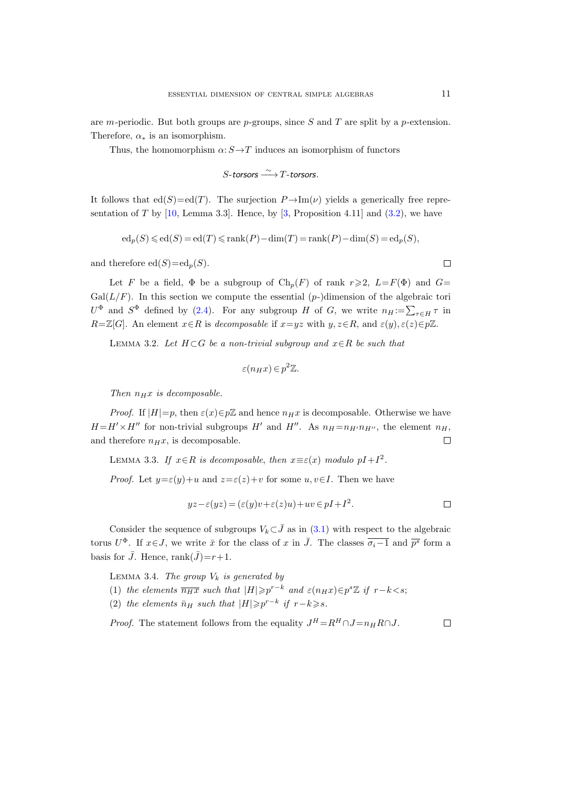are m-periodic. But both groups are p-groups, since S and T are split by a p-extension. Therefore,  $\alpha_*$  is an isomorphism.

Thus, the homomorphism  $\alpha: S \rightarrow T$  induces an isomorphism of functors

$$
S\text{-torsors}\xrightarrow{\sim} T\text{-torsors}.
$$

It follows that  $ed(S)=ed(T)$ . The surjection  $P\rightarrow \text{Im}(\nu)$  yields a generically free representation of T by  $[10, \text{ Lemma } 3.3]$ . Hence, by  $[3, \text{ Proposition } 4.11]$  and  $(3.2)$ , we have

$$
ed_p(S) \leqslant ed(S) = ed(T) \leqslant rank(P) - dim(T) = rank(P) - dim(S) = ed_p(S),
$$

and therefore  $ed(S)=ed_p(S)$ .

Let F be a field,  $\Phi$  be a subgroup of  $\text{Ch}_p(F)$  of rank  $r \geq 2$ ,  $L = F(\Phi)$  and  $G =$  $Gal(L/F)$ . In this section we compute the essential  $(p-)$ dimension of the algebraic tori  $U^{\Phi}$  and  $S^{\Phi}$  defined by [\(2.4\)](#page-7-0). For any subgroup H of G, we write  $n_H := \sum_{\tau \in H} \tau$  in  $R=\mathbb{Z}[G]$ . An element  $x\in R$  is decomposable if  $x=yz$  with  $y, z\in R$ , and  $\varepsilon(y), \varepsilon(z)\in p\mathbb{Z}$ .

<span id="page-10-2"></span>LEMMA 3.2. Let  $H \subset G$  be a non-trivial subgroup and  $x \in R$  be such that

$$
\varepsilon(n_H x) \in p^2 \mathbb{Z}.
$$

Then  $n_Hx$  is decomposable.

*Proof.* If  $|H|=p$ , then  $\varepsilon(x)\in p\mathbb{Z}$  and hence  $n\#x$  is decomposable. Otherwise we have  $H=H'\times H''$  for non-trivial subgroups H' and H''. As  $n_H=n_{H'}n_{H''}$ , the element  $n_H$ , and therefore  $n_Hx$ , is decomposable.  $\Box$ 

<span id="page-10-1"></span>LEMMA 3.3. If  $x \in R$  is decomposable, then  $x \equiv \varepsilon(x)$  modulo  $pI + I^2$ .

*Proof.* Let  $y = \varepsilon(y) + u$  and  $z = \varepsilon(z) + v$  for some  $u, v \in I$ . Then we have

$$
yz - \varepsilon(yz) = (\varepsilon(y)v + \varepsilon(z)u) + uv \in pI + I^2.
$$

Consider the sequence of subgroups  $V_k\subset\bar{J}$  as in [\(3.1\)](#page-9-1) with respect to the algebraic torus  $U^{\Phi}$ . If  $x \in J$ , we write  $\bar{x}$  for the class of x in  $\bar{J}$ . The classes  $\overline{\sigma_i-1}$  and  $\overline{p^s}$  form a basis for  $\bar{J}$ . Hence, rank $(\bar{J})=r+1$ .

<span id="page-10-0"></span>LEMMA 3.4. The group  $V_k$  is generated by

(1) the elements  $\overline{n_Hx}$  such that  $|H| \geq p^{r-k}$  and  $\varepsilon(n_Hx) \in p^s \mathbb{Z}$  if  $r-k < s$ ;

(2) the elements  $\bar{n}_H$  such that  $|H| \geqslant p^{r-k}$  if  $r-k \geqslant s$ .

<span id="page-10-3"></span>*Proof.* The statement follows from the equality  $J^H = R^H \cap J = n_H R \cap J$ .  $\Box$ 

 $\Box$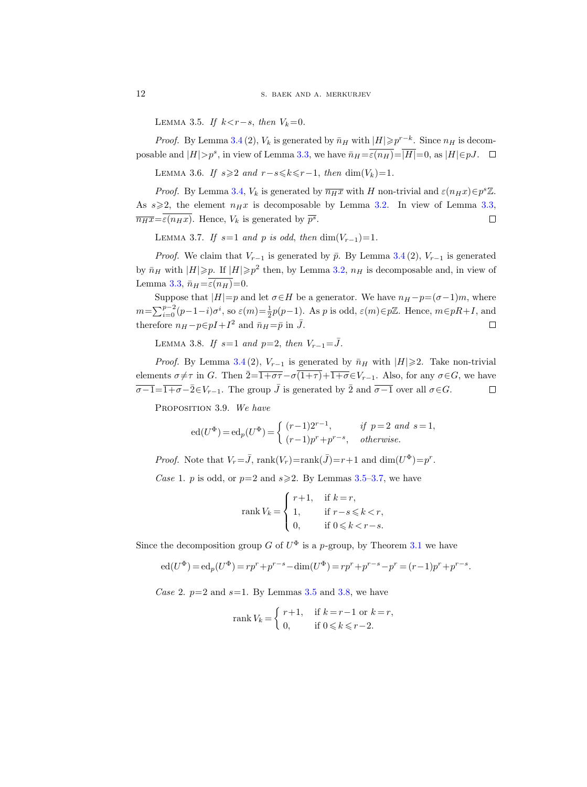LEMMA 3.5. If  $k < r - s$ , then  $V_k = 0$ .

*Proof.* By Lemma [3.4](#page-10-0) (2),  $V_k$  is generated by  $\bar{n}_H$  with  $|H| \geq p^{r-k}$ . Since  $n_H$  is decomposable and  $|H|>p^s$ , in view of Lemma [3.3,](#page-10-1) we have  $\bar{n}_H = \varepsilon(n_H) = |H|=0$ , as  $|H| \in pJ$ .

LEMMA 3.6. If  $s \geq 2$  and  $r-s \leq k \leq r-1$ , then dim(V<sub>k</sub>)=1.

*Proof.* By Lemma [3.4,](#page-10-0)  $V_k$  is generated by  $\overline{n_H x}$  with H non-trivial and  $\varepsilon(n_H x) \in p^s \mathbb{Z}$ . As  $s \geqslant 2$ , the element  $n_H x$  is decomposable by Lemma [3.2.](#page-10-2) In view of Lemma [3.3,](#page-10-1)  $\overline{n_Hx} = \varepsilon(n_Hx)$ . Hence,  $V_k$  is generated by  $\overline{p^s}$ .  $\Box$ 

<span id="page-11-0"></span>LEMMA 3.7. If  $s=1$  and p is odd, then  $\dim(V_{r-1})=1$ .

*Proof.* We claim that  $V_{r-1}$  is generated by  $\bar{p}$ . By Lemma [3.4](#page-10-0)(2),  $V_{r-1}$  is generated by  $\bar{n}_H$  with  $|H| \geq p$ . If  $|H| \geq p^2$  then, by Lemma [3.2,](#page-10-2)  $n_H$  is decomposable and, in view of Lemma [3.3,](#page-10-1)  $\bar{n}_H = \overline{\varepsilon(n_H)}=0.$ 

Suppose that  $|H|=p$  and let  $\sigma \in H$  be a generator. We have  $n_H - p = (\sigma - 1)m$ , where  $m=\sum_{i=0}^{p-2}(p-1-i)\sigma^i$ , so  $\varepsilon(m)=\frac{1}{2}p(p-1)$ . As p is odd,  $\varepsilon(m)\in p\mathbb{Z}$ . Hence,  $m\in pR+I$ , and therefore  $n_H - p \in pI + I^2$  and  $\bar{n}_H = \bar{p}$  in  $\bar{J}$ .  $\Box$ 

<span id="page-11-1"></span>LEMMA 3.8. If  $s=1$  and  $p=2$ , then  $V_{r-1}=\overline{J}$ .

*Proof.* By Lemma [3.4](#page-10-0)(2),  $V_{r-1}$  is generated by  $\bar{n}_H$  with  $|H|\geq 2$ . Take non-trivial elements  $\sigma \neq \tau$  in G. Then  $\overline{2}=\overline{1+\sigma\tau}-\sigma\overline{(1+\tau)}+\overline{1+\sigma}\in V_{r-1}$ . Also, for any  $\sigma \in G$ , we have  $\overline{\sigma-1}=\overline{1+\sigma}-\overline{2}\in V_{r-1}$ . The group  $\overline{J}$  is generated by  $\overline{2}$  and  $\overline{\sigma-1}$  over all  $\sigma\in G$ .  $\Box$ 

<span id="page-11-2"></span>PROPOSITION 3.9. We have

$$
ed(U^{\Phi}) = ed_p(U^{\Phi}) = \begin{cases} (r-1)2^{r-1}, & \text{if } p=2 \text{ and } s=1, \\ (r-1)p^r + p^{r-s}, & \text{otherwise.} \end{cases}
$$

*Proof.* Note that  $V_r = \bar{J}$ ,  $\text{rank}(V_r) = \text{rank}(\bar{J}) = r+1$  and  $\dim(U^{\Phi}) = p^r$ .

Case 1. p is odd, or  $p=2$  and  $s\geq 2$ . By Lemmas [3.5–](#page-10-3)[3.7,](#page-11-0) we have

$$
\operatorname{rank} V_k = \begin{cases} r+1, & \text{if } k = r, \\ 1, & \text{if } r-s \leqslant k < r, \\ 0, & \text{if } 0 \leqslant k < r-s. \end{cases}
$$

Since the decomposition group G of  $U^{\Phi}$  is a p-group, by Theorem [3.1](#page-9-2) we have

$$
ed(U^{\Phi}) = ed_p(U^{\Phi}) = rp^r + p^{r-s} - dim(U^{\Phi}) = rp^r + p^{r-s} - p^r = (r-1)p^r + p^{r-s}.
$$

Case 2.  $p=2$  and  $s=1$ . By Lemmas [3.5](#page-10-3) and [3.8,](#page-11-1) we have

$$
rank V_k = \begin{cases} r+1, & \text{if } k = r-1 \text{ or } k = r, \\ 0, & \text{if } 0 \le k \le r-2. \end{cases}
$$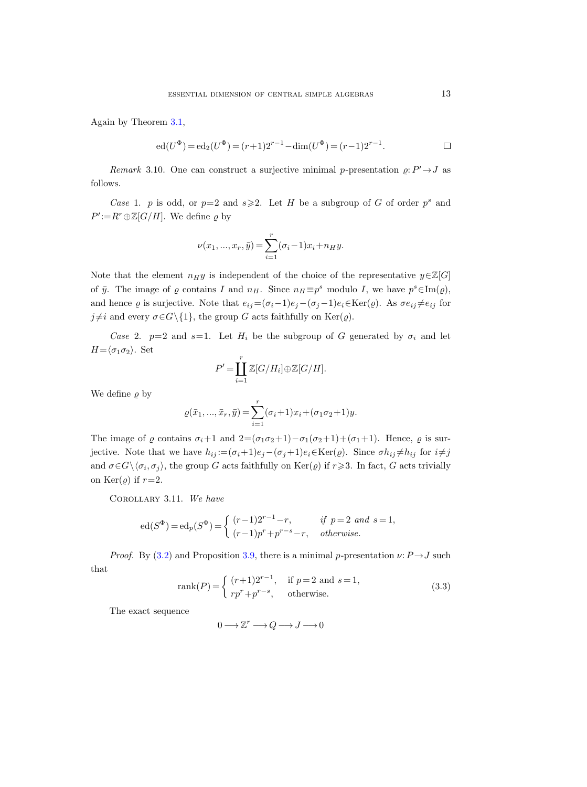Again by Theorem [3.1,](#page-9-2)

$$
ed(U^{\Phi}) = ed_2(U^{\Phi}) = (r+1)2^{r-1} - dim(U^{\Phi}) = (r-1)2^{r-1}.
$$

<span id="page-12-2"></span>Remark 3.10. One can construct a surjective minimal p-presentation  $\varrho: P' \rightarrow J$  as follows.

Case 1. p is odd, or  $p=2$  and  $s\geqslant 2$ . Let H be a subgroup of G of order  $p^s$  and  $P' := R^r \oplus \mathbb{Z}[G/H]$ . We define  $\varrho$  by

$$
\nu(x_1, ..., x_r, \bar{y}) = \sum_{i=1}^r (\sigma_i - 1)x_i + n_H y.
$$

Note that the element  $n_H y$  is independent of the choice of the representative  $y \in \mathbb{Z}[G]$ of  $\bar{y}$ . The image of  $\varrho$  contains I and  $n_H$ . Since  $n_H \equiv p^s$  modulo I, we have  $p^s \in \text{Im}(\varrho)$ , and hence  $\varrho$  is surjective. Note that  $e_{ij}=(\sigma_i-1)e_j-(\sigma_j-1)e_i\in\text{Ker}(\varrho)$ . As  $\sigma e_{ij}\neq e_{ij}$  for  $j \neq i$  and every  $\sigma \in G \setminus \{1\}$ , the group G acts faithfully on Ker( $\varrho$ ).

Case 2.  $p=2$  and  $s=1$ . Let  $H_i$  be the subgroup of G generated by  $\sigma_i$  and let  $H=\langle \sigma_1 \sigma_2 \rangle$ . Set

$$
P' = \coprod_{i=1}^r \mathbb{Z}[G/H_i] \oplus \mathbb{Z}[G/H].
$$

We define  $\rho$  by

$$
\varrho(\bar{x}_1, ..., \bar{x}_r, \bar{y}) = \sum_{i=1}^r (\sigma_i + 1)x_i + (\sigma_1 \sigma_2 + 1)y.
$$

The image of  $\varrho$  contains  $\sigma_i+1$  and  $2=(\sigma_1\sigma_2+1)-\sigma_1(\sigma_2+1)+(\sigma_1+1)$ . Hence,  $\varrho$  is surjective. Note that we have  $h_{ij} := (\sigma_i + 1)e_j - (\sigma_j + 1)e_i \in \text{Ker}(\varrho)$ . Since  $\sigma h_{ij} \neq h_{ij}$  for  $i \neq j$ and  $\sigma \in G \setminus \langle \sigma_i, \sigma_j \rangle$ , the group G acts faithfully on  $\text{Ker}(\varrho)$  if  $r \geq 3$ . In fact, G acts trivially on  $\text{Ker}(\rho)$  if  $r=2$ .

<span id="page-12-1"></span>Corollary 3.11. We have

$$
ed(S^{\Phi}) = ed_p(S^{\Phi}) = \begin{cases} (r-1)2^{r-1} - r, & \text{if } p = 2 \text{ and } s = 1, \\ (r-1)p^r + p^{r-s} - r, & \text{otherwise.} \end{cases}
$$

*Proof.* By [\(3.2\)](#page-9-0) and Proposition [3.9,](#page-11-2) there is a minimal p-presentation  $\nu: P \rightarrow J$  such that

<span id="page-12-0"></span>
$$
rank(P) = \begin{cases} (r+1)2^{r-1}, & \text{if } p=2 \text{ and } s=1, \\ rp^r + p^{r-s}, & \text{otherwise.} \end{cases}
$$
 (3.3)

The exact sequence

 $0 \longrightarrow \mathbb{Z}^r \longrightarrow Q \longrightarrow J \longrightarrow 0$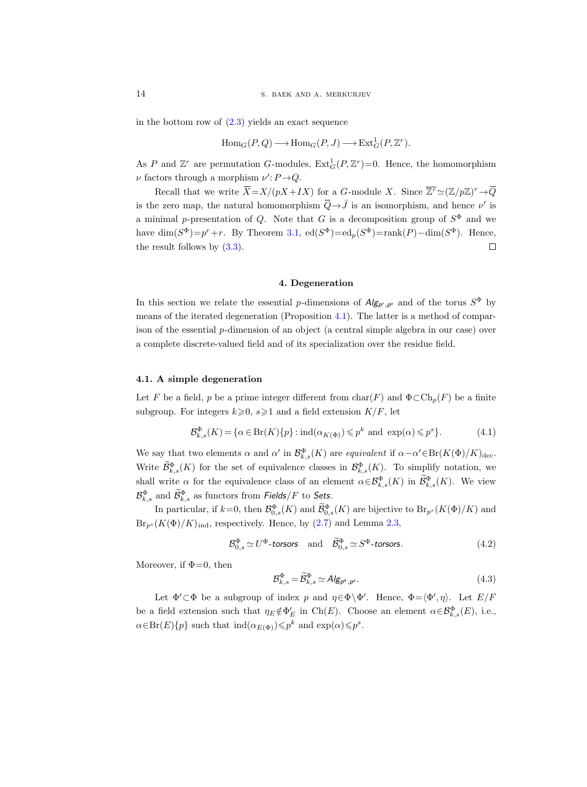in the bottom row of  $(2.3)$  yields an exact sequence

$$
\mathrm{Hom}_G(P, Q) \longrightarrow \mathrm{Hom}_G(P, J) \longrightarrow \mathrm{Ext}^1_G(P, \mathbb{Z}^r).
$$

As P and  $\mathbb{Z}^r$  are permutation G-modules,  $\text{Ext}_G^1(P, \mathbb{Z}^r) = 0$ . Hence, the homomorphism  $\nu$  factors through a morphism  $\nu'$ :  $P \rightarrow Q$ .

Recall that we write  $\overline{X} = X/(pX + IX)$  for a G-module X. Since  $\overline{Z^r} \simeq (\mathbb{Z}/p\mathbb{Z})^r \to \overline{Q}$ is the zero map, the natural homomorphism  $\overline{Q} \rightarrow \overline{J}$  is an isomorphism, and hence  $\nu'$  is a minimal p-presentation of Q. Note that G is a decomposition group of  $S^{\Phi}$  and we have  $\dim(S^{\Phi})=p^r+r$ . By Theorem [3.1,](#page-9-2)  $ed(S^{\Phi})=ed_p(S^{\Phi})=rank(P)-dim(S^{\Phi})$ . Hence, the result follows by [\(3.3\)](#page-12-0).  $\Box$ 

## 4. Degeneration

In this section we relate the essential p-dimensions of  $Alg_{p',p^s}$  and of the torus  $S^{\Phi}$  by means of the iterated degeneration (Proposition [4.1\)](#page-14-0). The latter is a method of comparison of the essential p-dimension of an object (a central simple algebra in our case) over a complete discrete-valued field and of its specialization over the residue field.

#### 4.1. A simple degeneration

Let F be a field, p be a prime integer different from  $char(F)$  and  $\Phi \subset Ch_p(F)$  be a finite subgroup. For integers  $k \ge 0$ ,  $s \ge 1$  and a field extension  $K/F$ , let

<span id="page-13-0"></span>
$$
\mathcal{B}_{k,s}^{\Phi}(K) = \{ \alpha \in \text{Br}(K) \{ p \} : \text{ind}(\alpha_{K(\Phi)}) \leqslant p^k \text{ and } \exp(\alpha) \leqslant p^s \}. \tag{4.1}
$$

We say that two elements  $\alpha$  and  $\alpha'$  in  $\mathcal{B}^{\Phi}_{k,s}(K)$  are equivalent if  $\alpha-\alpha' \in \text{Br}(K(\Phi)/K)_{\text{dec}}$ . Write  $\mathcal{B}_{k,s}^{\Phi}(K)$  for the set of equivalence classes in  $\mathcal{B}_{k,s}^{\Phi}(K)$ . To simplify notation, we shall write  $\alpha$  for the equivalence class of an element  $\alpha \in \mathcal{B}_{k,s}^{\Phi}(K)$  in  $\mathcal{B}_{k,s}^{\Phi}(K)$ . We view  $\mathcal{B}_{k,s}^{\Phi}$  and  $\widetilde{\mathcal{B}}_{k,s}^{\Phi}$  as functors from Fields/F to Sets.

In particular, if  $k=0$ , then  $\mathcal{B}_{0,s}^{\Phi}(K)$  and  $\mathcal{B}_{0,s}^{\Phi}(K)$  are bijective to  $\text{Br}_{p^s}(K(\Phi)/K)$  and  $Br_{p^s}(K(\Phi)/K)_{\text{ind}}$ , respectively. Hence, by [\(2.7\)](#page-8-0) and Lemma [2.3,](#page-8-1)

<span id="page-13-1"></span>
$$
\mathcal{B}_{0,s}^{\Phi} \simeq U^{\Phi} \text{-torsors} \quad \text{and} \quad \widetilde{\mathcal{B}}_{0,s}^{\Phi} \simeq S^{\Phi} \text{-torsors.} \tag{4.2}
$$

Moreover, if  $\Phi=0$ , then

$$
\mathcal{B}_{k,s}^{\Phi} = \widetilde{\mathcal{B}}_{k,s}^{\Phi} \simeq \mathcal{A} \mathcal{B}_{\mathcal{P}^k, \mathcal{P}^s}.
$$
\n
$$
(4.3)
$$

Let  $\Phi' \subset \Phi$  be a subgroup of index p and  $\eta \in \Phi \backslash \Phi'$ . Hence,  $\Phi = \langle \Phi', \eta \rangle$ . Let  $E/F$ be a field extension such that  $\eta_E \notin \Phi_E'$  in Ch(E). Choose an element  $\alpha \in \mathcal{B}_{k,s}^{\Phi}(E)$ , i.e.,  $\alpha \in Br(E)\{p\}$  such that  $\text{ind}(\alpha_{E(\Phi)}) \leqslant p^k$  and  $\exp(\alpha) \leqslant p^s$ .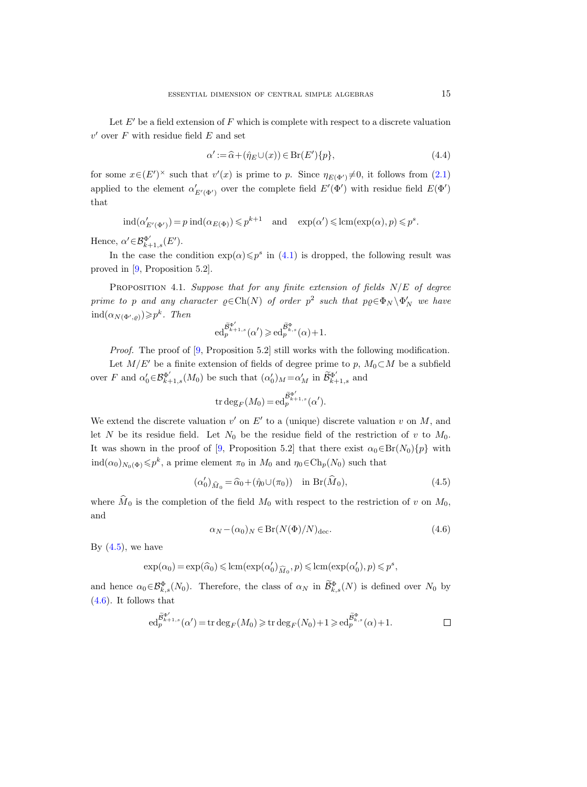Let  $E'$  be a field extension of F which is complete with respect to a discrete valuation  $v'$  over  $F$  with residue field  $E$  and set

$$
\alpha' := \widehat{\alpha} + (\widehat{\eta}_E \cup (x)) \in \text{Br}(E')\{p\},\tag{4.4}
$$

for some  $x \in (E')^{\times}$  such that  $v'(x)$  is prime to p. Since  $\eta_{E(\Phi')} \neq 0$ , it follows from  $(2.1)$ applied to the element  $\alpha'_{E'(\Phi')}$  over the complete field  $E'(\Phi')$  with residue field  $E(\Phi')$ that

$$
ind(\alpha'_{E'(\Phi')}) = p ind(\alpha_{E(\Phi)}) \leqslant p^{k+1} \quad \text{and} \quad \exp(\alpha') \leqslant lcm(\exp(\alpha), p) \leqslant p^s.
$$

Hence,  $\alpha' \in \mathcal{B}_{k+1,s}^{\Phi'}(E').$ 

In the case the condition  $\exp(\alpha) \leq p^s$  in [\(4.1\)](#page-13-0) is dropped, the following result was proved in [\[9,](#page-26-3) Proposition 5.2].

<span id="page-14-0"></span>PROPOSITION 4.1. Suppose that for any finite extension of fields  $N/E$  of degree prime to p and any character  $\varrho \in \text{Ch}(N)$  of order  $p^2$  such that  $p\varrho \in \Phi_N \backslash \Phi'_N$  we have  $\operatorname{ind}(\alpha_{N(\Phi',\varrho)}) \geqslant p^k$ . Then

$$
ed_p^{\widetilde{\mathcal{B}}_{k+1,s}^{\Phi'}}(\alpha') \geqslant ed_p^{\widetilde{\mathcal{B}}_{k,s}^{\Phi}}(\alpha)+1.
$$

Proof. The proof of [\[9,](#page-26-3) Proposition 5.2] still works with the following modification.

Let  $M/E'$  be a finite extension of fields of degree prime to p,  $M_0\subset M$  be a subfield over F and  $\alpha'_0 \in \mathcal{B}_{k+1,s}^{\Phi'}(M_0)$  be such that  $(\alpha'_0)_M = \alpha'_M$  in  $\widetilde{\mathcal{B}}_{k+1,s}^{\Phi'}$  and

$$
\operatorname{tr} \deg_F(M_0) = \operatorname{ed}_p^{\widetilde{\mathcal{B}}_k^{\Phi'}}, (\alpha').
$$

We extend the discrete valuation  $v'$  on  $E'$  to a (unique) discrete valuation v on M, and let N be its residue field. Let  $N_0$  be the residue field of the restriction of v to  $M_0$ . It was shown in the proof of [\[9,](#page-26-3) Proposition 5.2] that there exist  $\alpha_0 \in Br(N_0)\{p\}$  with  $\text{ind}(\alpha_0)_{N_0(\Phi)} \leqslant p^k$ , a prime element  $\pi_0$  in  $M_0$  and  $\eta_0 \in \text{Ch}_p(N_0)$  such that

<span id="page-14-1"></span>
$$
(\alpha'_0)_{\widehat{M}_0} = \widehat{\alpha}_0 + (\widehat{\eta}_0 \cup (\pi_0)) \quad \text{in } \operatorname{Br}(\widehat{M}_0), \tag{4.5}
$$

where  $\widehat{M}_0$  is the completion of the field  $M_0$  with respect to the restriction of v on  $M_0$ , and

<span id="page-14-2"></span>
$$
\alpha_N - (\alpha_0)_N \in Br(N(\Phi)/N)_{\text{dec}}.\tag{4.6}
$$

By  $(4.5)$ , we have

$$
\exp(\alpha_0) = \exp(\widehat{\alpha}_0) \leq \operatorname{lcm}(\exp(\alpha'_0)_{\widehat{M}_0}, p) \leq \operatorname{lcm}(\exp(\alpha'_0), p) \leq p^s,
$$

and hence  $\alpha_0 \in \mathcal{B}_{k,s}^{\Phi}(N_0)$ . Therefore, the class of  $\alpha_N$  in  $\mathcal{B}_{k,s}^{\Phi}(N)$  is defined over  $N_0$  by [\(4.6\)](#page-14-2). It follows that

$$
\mathrm{ed}^{\widetilde{\mathcal{B}}_{k+1,s}^{\Phi'}}_{p}(\alpha') = \mathrm{tr} \deg_F(M_0) \geqslant \mathrm{tr} \deg_F(N_0) + 1 \geqslant \mathrm{ed}^{\widetilde{\mathcal{B}}_{k,s}^{\Phi}}_{p}(\alpha) + 1.
$$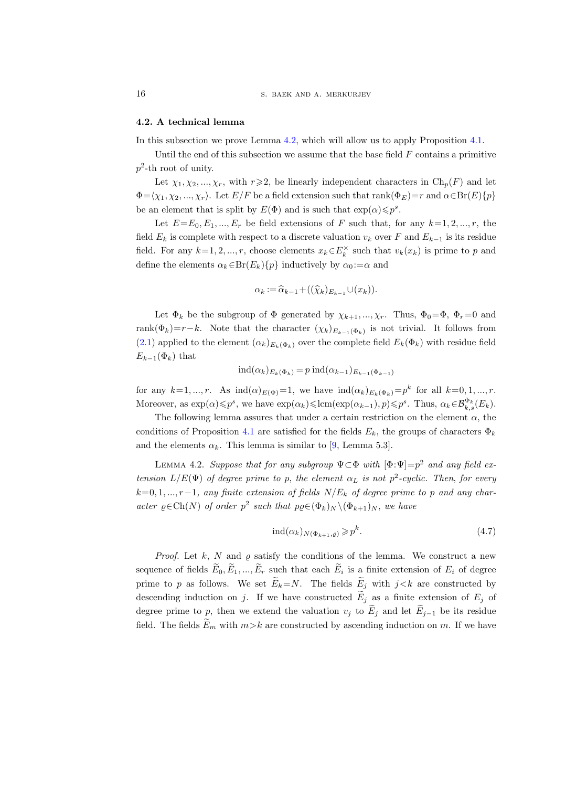#### <span id="page-15-2"></span>4.2. A technical lemma

In this subsection we prove Lemma [4.2,](#page-15-0) which will allow us to apply Proposition [4.1.](#page-14-0)

Until the end of this subsection we assume that the base field  $F$  contains a primitive  $p^2$ -th root of unity.

Let  $\chi_1, \chi_2, ..., \chi_r$ , with  $r \geq 2$ , be linearly independent characters in  $\text{Ch}_p(F)$  and let  $\Phi=\langle\chi_1,\chi_2,...,\chi_r\rangle$ . Let  $E/F$  be a field extension such that rank( $\Phi_E)=r$  and  $\alpha\in\text{Br}(E)\{p\}$ be an element that is split by  $E(\Phi)$  and is such that  $\exp(\alpha) \leq p^s$ .

Let  $E=E_0, E_1, ..., E_r$  be field extensions of F such that, for any  $k=1, 2, ..., r$ , the field  $E_k$  is complete with respect to a discrete valuation  $v_k$  over F and  $E_{k-1}$  is its residue field. For any  $k=1, 2, ..., r$ , choose elements  $x_k \in E_k^{\times}$  such that  $v_k(x_k)$  is prime to p and define the elements  $\alpha_k \in Br(E_k) \{p\}$  inductively by  $\alpha_0 := \alpha$  and

$$
\alpha_k := \widehat{\alpha}_{k-1} + ((\widehat{\chi}_k)_{E_{k-1}} \cup (x_k)).
$$

Let  $\Phi_k$  be the subgroup of  $\Phi$  generated by  $\chi_{k+1},...,\chi_r$ . Thus,  $\Phi_0=\Phi$ ,  $\Phi_r=0$  and rank $(\Phi_k)=r-k$ . Note that the character  $(\chi_k)_{E_{k-1}(\Phi_k)}$  is not trivial. It follows from [\(2.1\)](#page-4-0) applied to the element  $(\alpha_k)_{E_k(\Phi_k)}$  over the complete field  $E_k(\Phi_k)$  with residue field  $E_{k-1}(\Phi_k)$  that

$$
ind(\alpha_k)_{E_k(\Phi_k)} = p ind(\alpha_{k-1})_{E_{k-1}(\Phi_{k-1})}
$$

for any  $k=1, ..., r$ . As  $\text{ind}(\alpha)_{E(\Phi)}=1$ , we have  $\text{ind}(\alpha_k)_{E_k(\Phi_k)}=p^k$  for all  $k=0, 1, ..., r$ . Moreover, as  $\exp(\alpha) \leqslant p^s$ , we have  $\exp(\alpha_k) \leqslant \text{lcm}(\exp(\alpha_{k-1}), p) \leqslant p^s$ . Thus,  $\alpha_k \in \mathcal{B}_{k,s}^{\Phi_k}(E_k)$ .

The following lemma assures that under a certain restriction on the element  $\alpha$ , the conditions of Proposition [4.1](#page-14-0) are satisfied for the fields  $E_k$ , the groups of characters  $\Phi_k$ and the elements  $\alpha_k$ . This lemma is similar to [\[9,](#page-26-3) Lemma 5.3].

<span id="page-15-0"></span>LEMMA 4.2. Suppose that for any subgroup  $\Psi \subset \Phi$  with  $[\Phi:\Psi]=p^2$  and any field extension  $L/E(\Psi)$  of degree prime to p, the element  $\alpha_L$  is not  $p^2$ -cyclic. Then, for every  $k=0, 1, ..., r-1$ , any finite extension of fields  $N/E_k$  of degree prime to p and any character  $\varrho \in \text{Ch}(N)$  of order  $p^2$  such that  $p\varrho \in (\Phi_k)_N \setminus (\Phi_{k+1})_N$ , we have

<span id="page-15-1"></span>
$$
ind(\alpha_k)_{N(\Phi_{k+1}, \varrho)} \geqslant p^k. \tag{4.7}
$$

*Proof.* Let k, N and  $\varrho$  satisfy the conditions of the lemma. We construct a new sequence of fields  $E_0, E_1, ..., E_r$  such that each  $E_i$  is a finite extension of  $E_i$  of degree prime to p as follows. We set  $\widetilde{E}_k = N$ . The fields  $\widetilde{E}_j$  with  $j < k$  are constructed by descending induction on j. If we have constructed  $\tilde{E}_j$  as a finite extension of  $E_j$  of degree prime to p, then we extend the valuation  $v_j$  to  $E_j$  and let  $E_{j-1}$  be its residue field. The fields  $E_m$  with  $m > k$  are constructed by ascending induction on m. If we have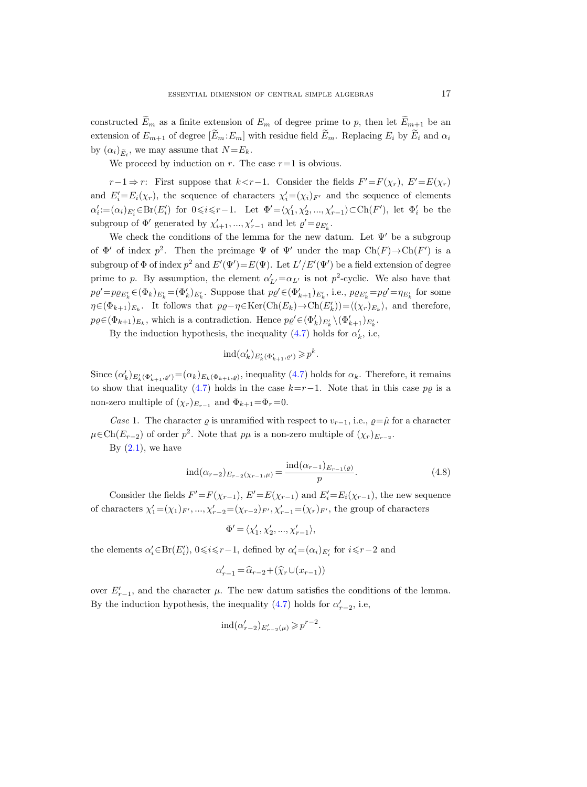constructed  $E_m$  as a finite extension of  $E_m$  of degree prime to p, then let  $E_{m+1}$  be an extension of  $E_{m+1}$  of degree  $[\widetilde{E}_m:E_m]$  with residue field  $\widetilde{E}_m$ . Replacing  $E_i$  by  $\widetilde{E}_i$  and  $\alpha_i$ by  $(\alpha_i)_{\tilde{E}_i}$ , we may assume that  $N = E_k$ .

We proceed by induction on r. The case  $r=1$  is obvious.

 $r-1 \Rightarrow r$ : First suppose that  $k < r-1$ . Consider the fields  $F' = F(\chi_r)$ ,  $E' = E(\chi_r)$ and  $E_i'=E_i(\chi_r)$ , the sequence of characters  $\chi_i'=(\chi_i)_{F'}$  and the sequence of elements  $\alpha'_i := (\alpha_i)_{E'_i} \in Br(E'_i)$  for  $0 \leq i \leq r-1$ . Let  $\Phi' = \langle \chi'_1, \chi'_2, ..., \chi'_{r-1} \rangle \subset Ch(F')$ , let  $\Phi'_i$  be the subgroup of  $\Phi'$  generated by  $\chi'_{i+1}, ..., \chi'_{r-1}$  and let  $\varrho' = \varrho_{E'_k}$ .

We check the conditions of the lemma for the new datum. Let  $\Psi'$  be a subgroup of  $\Phi'$  of index  $p^2$ . Then the preimage  $\Psi$  of  $\Psi'$  under the map  $Ch(F) \to Ch(F')$  is a subgroup of  $\Phi$  of index  $p^2$  and  $E'(\Psi') = E(\Psi)$ . Let  $L'/E'(\Psi')$  be a field extension of degree prime to p. By assumption, the element  $\alpha'_{L'} = \alpha_{L'}$  is not p<sup>2</sup>-cyclic. We also have that  $p\varrho' = p\varrho_{E'_k} \in (\Phi_k)_{E'_k} = (\Phi'_k)_{E'_k}$ . Suppose that  $p\varrho' \in (\Phi'_{k+1})_{E'_k}$ , i.e.,  $p\varrho_{E'_k} = p\varrho' = \eta_{E'_k}$  for some  $\eta \in (\Phi_{k+1})_{E_k}$ . It follows that  $p\varrho - \eta \in \text{Ker}(\text{Ch}(E_k) \to \text{Ch}(E'_k)) = \langle (\chi_r)_{E_k} \rangle$ , and therefore,  $p\varrho \in (\Phi_{k+1})_{E_k}$ , which is a contradiction. Hence  $p\varrho' \in (\Phi'_k)_{E'_k} \setminus (\Phi'_{k+1})_{E'_k}$ .

By the induction hypothesis, the inequality [\(4.7\)](#page-15-1) holds for  $\alpha'_k$ , i.e,

$$
\mathrm{ind}(\alpha'_k)_{E'_k(\Phi'_{k+1},\varrho')}\geqslant p^k.
$$

Since  $(\alpha'_k)_{E'_k(\Phi'_{k+1},\varrho')} = (\alpha_k)_{E_k(\Phi_{k+1},\varrho)}$ , inequality  $(4.7)$  holds for  $\alpha_k$ . Therefore, it remains to show that inequality [\(4.7\)](#page-15-1) holds in the case  $k=r-1$ . Note that in this case p<sub>Q</sub> is a non-zero multiple of  $(\chi_r)_{E_{r-1}}$  and  $\Phi_{k+1}=\Phi_r=0$ .

Case 1. The character  $\varrho$  is unramified with respect to  $v_{r-1}$ , i.e.,  $\varrho = \hat{\mu}$  for a character  $\mu \in \text{Ch}(E_{r-2})$  of order  $p^2$ . Note that  $p\mu$  is a non-zero multiple of  $(\chi_r)_{E_{r-2}}$ .

By  $(2.1)$ , we have

<span id="page-16-0"></span>
$$
ind(\alpha_{r-2})_{E_{r-2}(\chi_{r-1},\mu)} = \frac{ind(\alpha_{r-1})_{E_{r-1}(\varrho)}}{p}.
$$
\n(4.8)

Consider the fields  $F' = F(\chi_{r-1}), E' = E(\chi_{r-1})$  and  $E'_i = E_i(\chi_{r-1}),$  the new sequence of characters  $\chi'_1 = (\chi_1)_{F'}, \ldots, \chi'_{r-2} = (\chi_{r-2})_{F'}, \chi'_{r-1} = (\chi_r)_{F'}$ , the group of characters

$$
\Phi' = \langle \chi'_1, \chi'_2, \dots, \chi'_{r-1} \rangle,
$$

the elements  $\alpha'_i \in Br(E'_i)$ ,  $0 \le i \le r-1$ , defined by  $\alpha'_i = (\alpha_i)_{E'_i}$  for  $i \le r-2$  and

$$
\alpha'_{r-1} = \widehat{\alpha}_{r-2} + (\widehat{\chi}_r \cup (x_{r-1}))
$$

over  $E'_{r-1}$ , and the character  $\mu$ . The new datum satisfies the conditions of the lemma. By the induction hypothesis, the inequality  $(4.7)$  holds for  $\alpha'_{r-2}$ , i.e,

$$
\operatorname{ind}(\alpha'_{r-2})_{E'_{r-2}(\mu)} \geqslant p^{r-2}.
$$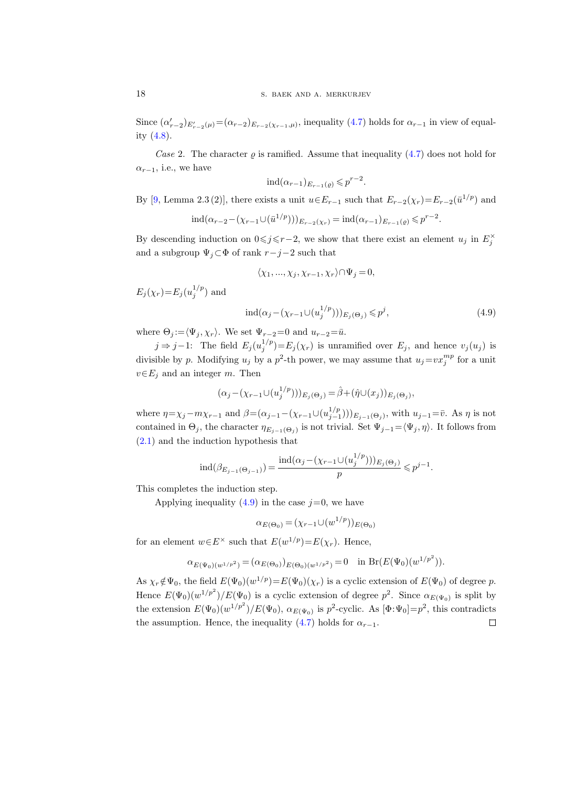Since  $(\alpha'_{r-2})_{E'_{r-2}(\mu)} = (\alpha_{r-2})_{E_{r-2}(\chi_{r-1},\mu)}$ , inequality [\(4.7\)](#page-15-1) holds for  $\alpha_{r-1}$  in view of equality [\(4.8\)](#page-16-0).

Case 2. The character  $\rho$  is ramified. Assume that inequality [\(4.7\)](#page-15-1) does not hold for  $\alpha_{r-1}$ , i.e., we have

$$
ind(\alpha_{r-1})_{E_{r-1}(\varrho)} \leqslant p^{r-2}.
$$

By [\[9,](#page-26-3) Lemma 2.3 (2)], there exists a unit  $u \in E_{r-1}$  such that  $E_{r-2}(\chi_r) = E_{r-2}(\bar{u}^{1/p})$  and

$$
ind(\alpha_{r-2}-(\chi_{r-1}\cup(\bar{u}^{1/p})))_{E_{r-2}(\chi_r)}=ind(\alpha_{r-1})_{E_{r-1}(\varrho)}\leq p^{r-2}.
$$

By descending induction on  $0 \leq j \leq r-2$ , we show that there exist an element  $u_j$  in  $E_j^{\times}$ and a subgroup  $\Psi_j \subset \Phi$  of rank  $r-j-2$  such that

$$
\langle \chi_1, \ldots, \chi_j, \chi_{r-1}, \chi_r \rangle \cap \Psi_j = 0,
$$

 $E_j(\chi_r) = E_j(u_j^{1/p})$  and

<span id="page-17-0"></span>
$$
ind(\alpha_j - (\chi_{r-1} \cup (u_j^{1/p})))_{E_j(\Theta_j)} \leq p^j,
$$
\n(4.9)

where  $\Theta_j := \langle \Psi_j , \chi_r \rangle$ . We set  $\Psi_{r-2}=0$  and  $u_{r-2}=\bar{u}$ .

 $j \Rightarrow j-1$ : The field  $E_j(u_j^{1/p})=E_j(\chi_r)$  is unramified over  $E_j$ , and hence  $v_j(u_j)$  is divisible by p. Modifying  $u_j$  by a  $p^2$ -th power, we may assume that  $u_j = vx_j^{mp}$  for a unit  $v \in E_j$  and an integer m. Then

$$
(\alpha_j - (\chi_{r-1} \cup (u_j^{1/p})))_{E_j(\Theta_j)} = \hat{\beta} + (\hat{\eta} \cup (x_j))_{E_j(\Theta_j)},
$$

where  $\eta = \chi_j - m\chi_{r-1}$  and  $\beta = (\alpha_{j-1} - (\chi_{r-1} \cup (u_{j-1}^{1/p})))_{E_{j-1}(\Theta_j)}$ , with  $u_{j-1} = \overline{v}$ . As  $\eta$  is not contained in  $\Theta_j$ , the character  $\eta_{E_{j-1}(\Theta_j)}$  is not trivial. Set  $\Psi_{j-1} = \langle \Psi_j, \eta \rangle$ . It follows from [\(2.1\)](#page-4-0) and the induction hypothesis that

$$
ind(\beta_{E_{j-1}(\Theta_{j-1})}) = \frac{ind(\alpha_j - (\chi_{r-1} \cup (u_j^{1/p})))_{E_j(\Theta_j)}}{p} \leqslant p^{j-1}.
$$

This completes the induction step.

Applying inequality  $(4.9)$  in the case  $j=0$ , we have

$$
\alpha_{E(\Theta_0)} = (\chi_{r-1} \cup (w^{1/p}))_{E(\Theta_0)}
$$

for an element  $w \in E^{\times}$  such that  $E(w^{1/p}) = E(\chi_r)$ . Hence,

$$
\alpha_{E(\Psi_0)(w^{1/p^2})} = (\alpha_{E(\Theta_0)})_{E(\Theta_0)(w^{1/p^2})} = 0 \text{ in } Br(E(\Psi_0)(w^{1/p^2})).
$$

As  $\chi_r \notin \Psi_0$ , the field  $E(\Psi_0)(w^{1/p}) = E(\Psi_0)(\chi_r)$  is a cyclic extension of  $E(\Psi_0)$  of degree p. Hence  $E(\Psi_0)(w^{1/p^2})/E(\Psi_0)$  is a cyclic extension of degree  $p^2$ . Since  $\alpha_{E(\Psi_0)}$  is split by the extension  $E(\Psi_0)(w^{1/p^2})/E(\Psi_0)$ ,  $\alpha_{E(\Psi_0)}$  is  $p^2$ -cyclic. As  $[\Phi \cdot \Psi_0] = p^2$ , this contradicts the assumption. Hence, the inequality [\(4.7\)](#page-15-1) holds for  $\alpha_{r-1}$ .  $\Box$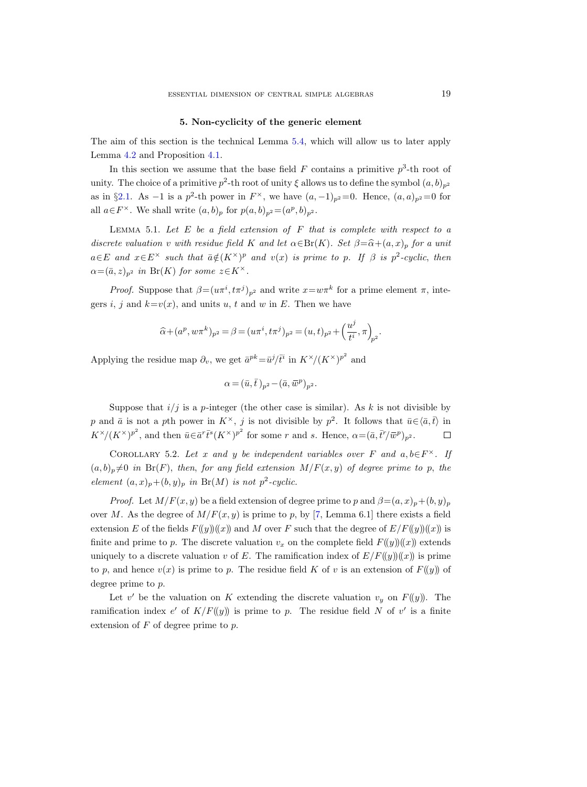#### 5. Non-cyclicity of the generic element

<span id="page-18-2"></span>The aim of this section is the technical Lemma [5.4,](#page-20-0) which will allow us to later apply Lemma [4.2](#page-15-0) and Proposition [4.1.](#page-14-0)

In this section we assume that the base field  $F$  contains a primitive  $p^3$ -th root of unity. The choice of a primitive  $p^2$ -th root of unity  $\xi$  allows us to define the symbol  $(a, b)_{p^2}$ as in §[2.1.](#page-2-0) As  $-1$  is a  $p^2$ -th power in  $F^{\times}$ , we have  $(a, -1)_{p^2} = 0$ . Hence,  $(a, a)_{p^2} = 0$  for all  $a \in F^{\times}$ . We shall write  $(a, b)_p$  for  $p(a, b)_{p^2} = (a^p, b)_{p^2}$ .

<span id="page-18-0"></span>LEMMA 5.1. Let  $E$  be a field extension of  $F$  that is complete with respect to a discrete valuation v with residue field K and let  $\alpha \in Br(K)$ . Set  $\beta = \widehat{\alpha} + (a, x)_p$  for a unit  $a \in E$  and  $x \in E^{\times}$  such that  $\bar{a} \notin (K^{\times})^p$  and  $v(x)$  is prime to p. If  $\beta$  is  $p^2$ -cyclic, then  $\alpha = (\bar{a}, z)_{p^2}$  in Br(K) for some  $z \in K^{\times}$ .

*Proof.* Suppose that  $\beta = (u\pi^i, t\pi^j)_{p^2}$  and write  $x = w\pi^k$  for a prime element  $\pi$ , integers i, j and  $k=v(x)$ , and units u, t and w in E. Then we have

$$
\widehat{\alpha}+(a^p, w\pi^k)_{p^2}=\beta=(u\pi^i, t\pi^j)_{p^2}=(u,t)_{p^2}+\left(\frac{u^j}{t^i}, \pi\right)_{\!\!p^2}.
$$

Applying the residue map  $\partial_v$ , we get  $\bar{a}^{pk} = \bar{u}^j \bar{t}^i$  in  $K^{\times}/(K^{\times})^{p^2}$  and

$$
\alpha = (\bar{u}, \bar{t})_{p^2} - (\bar{a}, \bar{w}^p)_{p^2}.
$$

Suppose that  $i/j$  is a p-integer (the other case is similar). As k is not divisible by p and  $\bar{a}$  is not a pth power in  $K^{\times}$ , j is not divisible by  $p^2$ . It follows that  $\bar{u} \in \langle \bar{a}, \bar{t} \rangle$  in  $K^{\times}/(K^{\times})^{p^2}$ , and then  $\bar{u} \in \bar{a}^r \bar{t}^s (K^{\times})^{p^2}$  for some r and s. Hence,  $\alpha = (\bar{a}, \bar{t}^r / \bar{w}^p)_{p^2}$ . П

<span id="page-18-1"></span>COROLLARY 5.2. Let x and y be independent variables over F and  $a, b \in F^{\times}$ . If  $(a, b)_p \neq 0$  in Br(F), then, for any field extension  $M/F(x, y)$  of degree prime to p, the element  $(a, x)_p + (b, y)_p$  in Br(M) is not  $p^2$ -cyclic.

*Proof.* Let  $M/F(x, y)$  be a field extension of degree prime to p and  $\beta = (a, x)_p + (b, y)_p$ over M. As the degree of  $M/F(x, y)$  is prime to p, by [\[7,](#page-26-0) Lemma 6.1] there exists a field extension E of the fields  $F(y)(x)$  and M over F such that the degree of  $E/F(y)(x)$  is finite and prime to p. The discrete valuation  $v_x$  on the complete field  $F(\langle y \rangle)(x)$  extends uniquely to a discrete valuation v of E. The ramification index of  $E/F(y)(x)$  is prime to p, and hence  $v(x)$  is prime to p. The residue field K of v is an extension of  $F(y)$  of degree prime to p.

Let v' be the valuation on K extending the discrete valuation  $v_y$  on  $F(y)$ . The ramification index e' of  $K/F(y)$  is prime to p. The residue field N of v' is a finite extension of  $F$  of degree prime to  $p$ .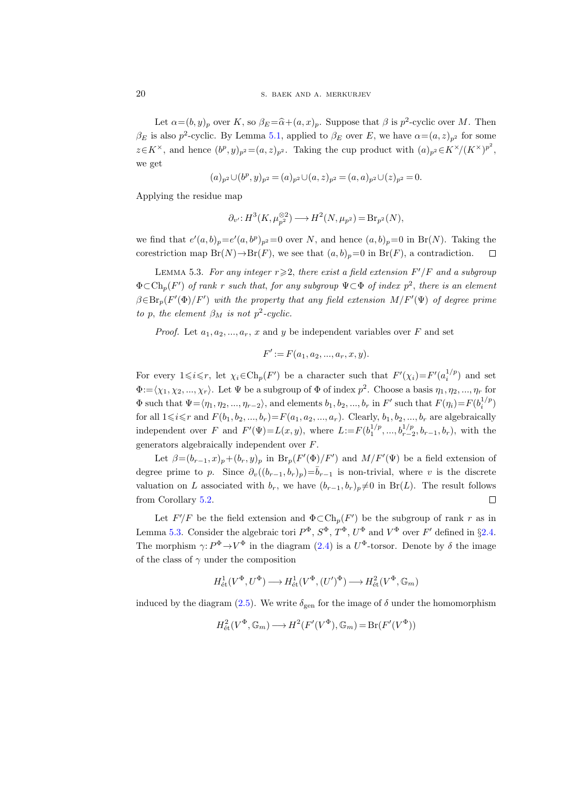Let  $\alpha = (b, y)_p$  over K, so  $\beta_E = \hat{\alpha} + (a, x)_p$ . Suppose that  $\beta$  is  $p^2$ -cyclic over M. Then  $\beta_E$  is also  $p^2$ -cyclic. By Lemma [5.1,](#page-18-0) applied to  $\beta_E$  over E, we have  $\alpha = (a, z)_{p^2}$  for some  $z \in K^{\times}$ , and hence  $(b^p, y)_{p^2} = (a, z)_{p^2}$ . Taking the cup product with  $(a)_{p^2} \in K^{\times}/(K^{\times})^{p^2}$ , we get

$$
(a)_{p^2} \cup (b^p, y)_{p^2} = (a)_{p^2} \cup (a, z)_{p^2} = (a, a)_{p^2} \cup (z)_{p^2} = 0.
$$

Applying the residue map

$$
\partial_{v'}: H^3(K, \mu_{p^2}^{\otimes 2}) \longrightarrow H^2(N, \mu_{p^2}) = \text{Br}_{p^2}(N),
$$

we find that  $e'(a, b)_p = e'(a, b^p)_p = 0$  over N, and hence  $(a, b)_p = 0$  in Br(N). Taking the corestriction map  $Br(N) \to Br(F)$ , we see that  $(a, b)_p = 0$  in  $Br(F)$ , a contradiction.  $\Box$ 

<span id="page-19-0"></span>LEMMA 5.3. For any integer  $r \geqslant 2$ , there exist a field extension  $F'/F$  and a subgroup  $\Phi \subset Ch_p(F')$  of rank r such that, for any subgroup  $\Psi \subset \Phi$  of index  $p^2$ , there is an element  $\beta \in \text{Br}_p(F'(\Phi)/F')$  with the property that any field extension  $M/F'(\Psi)$  of degree prime to p, the element  $\beta_M$  is not  $p^2$ -cyclic.

*Proof.* Let  $a_1, a_2, ..., a_r, x$  and y be independent variables over F and set

$$
F' := F(a_1, a_2, ..., a_r, x, y).
$$

For every  $1 \leq i \leq r$ , let  $\chi_i \in \text{Ch}_p(F')$  be a character such that  $F'(\chi_i) = F'(a_i^{1/p})$  and set  $\Phi:=\langle \chi_1, \chi_2, ..., \chi_r \rangle$ . Let  $\Psi$  be a subgroup of  $\Phi$  of index  $p^2$ . Choose a basis  $\eta_1, \eta_2, ..., \eta_r$  for  $\Phi$  such that  $\Psi = \langle \eta_1, \eta_2, ..., \eta_{r-2} \rangle$ , and elements  $b_1, b_2, ..., b_r$  in  $F'$  such that  $F(\eta_i) = F(b_i^{1/p})$ for all  $1 \le i \le r$  and  $F(b_1, b_2, ..., b_r)=F(a_1, a_2, ..., a_r)$ . Clearly,  $b_1, b_2, ..., b_r$  are algebraically independent over F and  $F'(\Psi) = L(x, y)$ , where  $L := F(b_1^{1/p}, ..., b_{r-2}^{1/p}, b_{r-1}, b_r)$ , with the generators algebraically independent over F.

Let  $\beta = (b_{r-1}, x)_p + (b_r, y)_p$  in  $Br_p(F'(\Phi)/F')$  and  $M/F'(\Psi)$  be a field extension of degree prime to p. Since  $\partial_v((b_{r-1}, b_r)_p) = \overline{b}_{r-1}$  is non-trivial, where v is the discrete valuation on L associated with  $b_r$ , we have  $(b_{r-1}, b_r)_p \neq 0$  in Br(L). The result follows from Corollary [5.2.](#page-18-1)  $\Box$ 

Let  $F'/F$  be the field extension and  $\Phi \subset \mathrm{Ch}_p(F')$  be the subgroup of rank r as in Lemma [5.3.](#page-19-0) Consider the algebraic tori  $P^{\Phi}$ ,  $S^{\Phi}$ ,  $T^{\Phi}$ ,  $U^{\Phi}$  and  $V^{\Phi}$  over  $F'$  defined in §[2.4.](#page-6-1) The morphism  $\gamma: P^{\Phi} \to V^{\Phi}$  in the diagram [\(2.4\)](#page-7-0) is a  $U^{\Phi}$ -torsor. Denote by  $\delta$  the image of the class of  $\gamma$  under the composition

$$
H^1_{\text{\'et}}(V^\Phi, U^\Phi) \longrightarrow H^1_{\text{\'et}}(V^\Phi, (U')^\Phi) \longrightarrow H^2_{\text{\'et}}(V^\Phi, \mathbb{G}_m)
$$

induced by the diagram [\(2.5\)](#page-7-2). We write  $\delta_{\text{gen}}$  for the image of  $\delta$  under the homomorphism

$$
H^2_{\text{\'et}}(V^\Phi, \mathbb{G}_m) \longrightarrow H^2(F'(V^\Phi), \mathbb{G}_m) = \text{Br}(F'(V^\Phi))
$$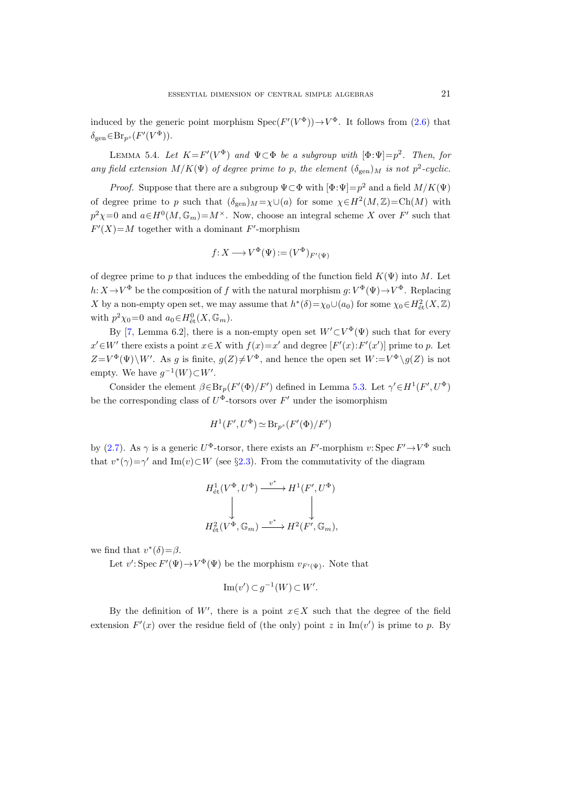induced by the generic point morphism  $Spec(F'(V^{\Phi})) \to V^{\Phi}$ . It follows from [\(2.6\)](#page-8-2) that  $\delta_{\text{gen}} \in \text{Br}_{p^s}(F'(V^{\Phi}))$ .

<span id="page-20-0"></span>LEMMA 5.4. Let  $K = F'(V^{\Phi})$  and  $\Psi \subset \Phi$  be a subgroup with  $[\Phi : \Psi] = p^2$ . Then, for any field extension  $M/K(\Psi)$  of degree prime to p, the element  $(\delta_{gen})_M$  is not  $p^2$ -cyclic.

*Proof.* Suppose that there are a subgroup  $\Psi \subset \Phi$  with  $[\Phi : \Psi] = p^2$  and a field  $M/K(\Psi)$ of degree prime to p such that  $(\delta_{gen})_M = \chi \cup (a)$  for some  $\chi \in H^2(M, \mathbb{Z}) = \text{Ch}(M)$  with  $p^2\chi=0$  and  $a\in H^0(M,\mathbb{G}_m)=M^\times$ . Now, choose an integral scheme X over F' such that  $F'(X)=M$  together with a dominant F'-morphism

$$
f: X \longrightarrow V^{\Phi}(\Psi) := (V^{\Phi})_{F'(\Psi)}
$$

of degree prime to p that induces the embedding of the function field  $K(\Psi)$  into M. Let  $h: X \to V^{\Phi}$  be the composition of f with the natural morphism  $g: V^{\Phi}(\Psi) \to V^{\Phi}$ . Replacing X by a non-empty open set, we may assume that  $h^*(\delta) = \chi_0 \cup (a_0)$  for some  $\chi_0 \in H^2_{\text{\'et}}(X, \mathbb{Z})$ with  $p^2 \chi_0 = 0$  and  $a_0 \in H^0_{\text{\'et}}(X, \mathbb{G}_m)$ .

By [\[7,](#page-26-0) Lemma 6.2], there is a non-empty open set  $W' \subset V^{\Phi}(\Psi)$  such that for every  $x' \in W'$  there exists a point  $x \in X$  with  $f(x)=x'$  and degree  $[F'(x):F'(x')]$  prime to p. Let  $Z=V^{\Phi}(\Psi)\backslash W'$ . As g is finite,  $g(Z)\neq V^{\Phi}$ , and hence the open set  $W:=V^{\Phi}\backslash g(Z)$  is not empty. We have  $g^{-1}(W) \subset W'$ .

Consider the element  $\beta \in Br_p(F'(\Phi)/F')$  defined in Lemma [5.3.](#page-19-0) Let  $\gamma' \in H^1(F', U^{\Phi})$ be the corresponding class of  $U^{\Phi}$ -torsors over  $F'$  under the isomorphism

$$
H^1(F', U^{\Phi}) \simeq \text{Br}_{p^s}(F'(\Phi)/F')
$$

by [\(2.7\)](#page-8-0). As  $\gamma$  is a generic  $U^{\Phi}$ -torsor, there exists an  $F'$ -morphism  $v:$  Spec  $F' \to V^{\Phi}$  such that  $v^*(\gamma) = \gamma'$  and Im(v) ⊂W (see §[2.3\)](#page-5-0). From the commutativity of the diagram

$$
\begin{array}{ccc} H^1_{\text{\'et}}(V^\Phi,U^\Phi) & \xrightarrow{\quad v^* \quad} & H^1(F',U^\Phi) \\ & \downarrow & & \downarrow \\ & \downarrow & & \downarrow \\ & H^2_{\text{\'et}}(V^\Phi,\mathbb{G}_m) & \xrightarrow{\quad v^* \quad} & H^2(F',\mathbb{G}_m), \end{array}
$$

we find that  $v^*(\delta) = \beta$ .

Let  $v'$ : Spec  $F'(\Psi) \to V^{\Phi}(\Psi)$  be the morphism  $v_{F'(\Psi)}$ . Note that

$$
\operatorname{Im}(v') \subset g^{-1}(W) \subset W'.
$$

By the definition of W', there is a point  $x \in X$  such that the degree of the field extension  $F'(x)$  over the residue field of (the only) point z in Im(v') is prime to p. By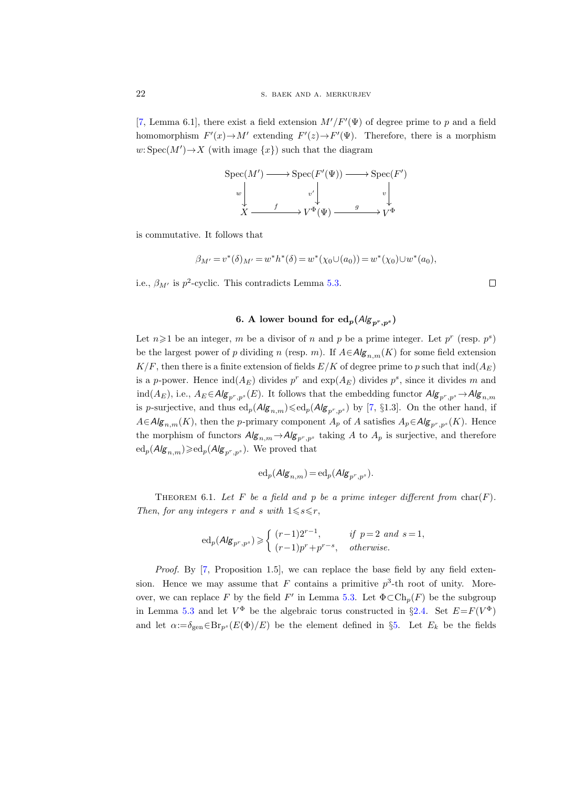[\[7,](#page-26-0) Lemma 6.1], there exist a field extension  $M'/F'(\Psi)$  of degree prime to p and a field homomorphism  $F'(x) \to M'$  extending  $F'(z) \to F'(\Psi)$ . Therefore, there is a morphism  $w: \text{Spec}(M') \to X$  (with image  $\{x\}$ ) such that the diagram

$$
\operatorname{Spec}(M') \longrightarrow \operatorname{Spec}(F'(\Psi)) \longrightarrow \operatorname{Spec}(F')
$$
  

$$
w \downarrow v' \downarrow v' \downarrow v' \downarrow
$$
  

$$
X \longrightarrow V^{\Phi}(\Psi) \longrightarrow V^{\Phi}
$$

is commutative. It follows that

$$
\beta_{M'} = v^*(\delta)_{M'} = w^*h^*(\delta) = w^*(\chi_0 \cup (a_0)) = w^*(\chi_0) \cup w^*(a_0),
$$

i.e.,  $\beta_{M'}$  is  $p^2$ -cyclic. This contradicts Lemma [5.3.](#page-19-0)

$$
\Box
$$

# 6. A lower bound for  $ed_p(A|g_{p^r,p^s})$

<span id="page-21-0"></span>Let  $n \geq 1$  be an integer, m be a divisor of n and p be a prime integer. Let  $p^r$  (resp.  $p^s$ ) be the largest power of p dividing n (resp. m). If  $A \in Alg_{n,m}(K)$  for some field extension  $K/F$ , then there is a finite extension of fields  $E/K$  of degree prime to p such that  $\text{ind}(A_F)$ is a p-power. Hence  $\text{ind}(A_E)$  divides  $p^r$  and  $\exp(A_E)$  divides  $p^s$ , since it divides m and ind( $A_E$ ), i.e.,  $A_E \in \mathcal{A/g}_{p^r,p^s}(E)$ . It follows that the embedding functor  $\mathcal{A/g}_{p^r,p^s} \to \mathcal{A/g}_{n,m}$ is p-surjective, and thus  $ed_p(A|g_{n,m}) \leq ed_p(A|g_{p^r,p^s})$  by [\[7,](#page-26-0) §1.3]. On the other hand, if  $A \in Alg_{n,m}(K)$ , then the p-primary component  $A_p$  of A satisfies  $A_p \in Alg_{p^r,p^s}(K)$ . Hence the morphism of functors  $Alg_{n,m} \rightarrow Alg_{p^r,p^s}$  taking A to  $A_p$  is surjective, and therefore  $ed_p(A|g_{n,m}) \geqslant ed_p(A|g_{p^r,p^s})$ . We proved that

$$
\mathrm{ed}_p(\mathcal{A}/g_{n,m}) = \mathrm{ed}_p(\mathcal{A}/g_{p^r,p^s}).
$$

<span id="page-21-1"></span>THEOREM 6.1. Let F be a field and p be a prime integer different from  $char(F)$ . Then, for any integers r and s with  $1 \leq s \leq r$ ,

$$
\mathrm{ed}_p(\mathcal{A/g}_{p^r,p^s}) \geqslant \begin{cases} (r-1)2^{r-1}, & \text{if } p=2 \text{ and } s=1, \\ (r-1)p^r+p^{r-s}, & \text{otherwise.} \end{cases}
$$

Proof. By [\[7,](#page-26-0) Proposition 1.5], we can replace the base field by any field extension. Hence we may assume that F contains a primitive  $p^3$ -th root of unity. More-over, we can replace F by the field F' in Lemma [5.3.](#page-19-0) Let  $\Phi \subset Ch_p(F)$  be the subgroup in Lemma [5.3](#page-19-0) and let  $V^{\Phi}$  be the algebraic torus constructed in §[2.4.](#page-6-1) Set  $E = F(V^{\Phi})$ and let  $\alpha:=\delta_{\text{gen}} \in \text{Br}_{p^s}(E(\Phi)/E)$  be the element defined in §[5.](#page-18-2) Let  $E_k$  be the fields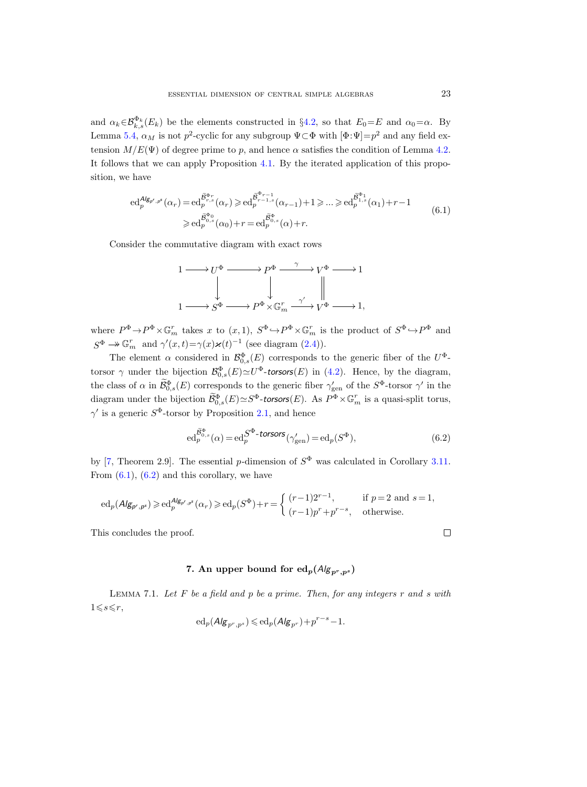and  $\alpha_k \in \mathcal{B}_{k,s}^{\Phi_k}(E_k)$  be the elements constructed in §[4.2,](#page-15-2) so that  $E_0=E$  and  $\alpha_0=\alpha$ . By Lemma [5.4,](#page-20-0)  $\alpha_M$  is not  $p^2$ -cyclic for any subgroup  $\Psi \subset \Phi$  with  $[\Phi:\Psi]=p^2$  and any field extension  $M/E(\Psi)$  of degree prime to p, and hence  $\alpha$  satisfies the condition of Lemma [4.2.](#page-15-0) It follows that we can apply Proposition [4.1.](#page-14-0) By the iterated application of this proposition, we have

$$
\mathrm{ed}_{p}^{\mathcal{A}/\mathcal{B}_{p^r},p^s}(\alpha_{r}) = \mathrm{ed}_{p}^{\widetilde{\mathcal{B}}_{r,s}^{\Phi_{r}}}( \alpha_{r}) \geqslant \mathrm{ed}_{p}^{\widetilde{\mathcal{B}}_{r-1,s}^{\Phi_{r-1,s}}}( \alpha_{r-1}) + 1 \geqslant \ldots \geqslant \mathrm{ed}_{p}^{\widetilde{\mathcal{B}}_{1,s}^{\Phi_{1}}}( \alpha_{1}) + r - 1
$$
\n
$$
\geqslant \mathrm{ed}_{p}^{\widetilde{\mathcal{B}}_{0,s}^{\Phi_{0}}}( \alpha_{0}) + r = \mathrm{ed}_{p}^{\widetilde{\mathcal{B}}_{0,s}^{\Phi_{0}}}( \alpha) + r. \tag{6.1}
$$

<span id="page-22-1"></span>Consider the commutative diagram with exact rows



where  $P^{\Phi} \to P^{\Phi} \times \mathbb{G}_m^r$  takes x to  $(x, 1)$ ,  $S^{\Phi} \to P^{\Phi} \times \mathbb{G}_m^r$  is the product of  $S^{\Phi} \to P^{\Phi}$  and  $S^{\Phi} \to \mathbb{G}_m^r$  and  $\gamma'(x,t) = \gamma(x)\varkappa(t)^{-1}$  (see diagram [\(2.4\)](#page-7-0)).

The element  $\alpha$  considered in  $\mathcal{B}_{0,s}^{\Phi}(E)$  corresponds to the generic fiber of the  $U^{\Phi}$ torsor  $\gamma$  under the bijection  $\mathcal{B}_{0,s}^{\Phi}(E) \simeq U^{\Phi}$ -torsors(E) in [\(4.2\)](#page-13-1). Hence, by the diagram, the class of  $\alpha$  in  $\mathcal{B}_{0,s}^{\Phi}(E)$  corresponds to the generic fiber  $\gamma_{\text{gen}}'$  of the  $S^{\Phi}$ -torsor  $\gamma'$  in the diagram under the bijection  $\widetilde{\mathcal{B}}_{0,s}^{\Phi}(E) \simeq S^{\Phi}$ -torsors $(E)$ . As  $P^{\Phi} \times \mathbb{G}_m^r$  is a quasi-split torus,  $\gamma'$  is a generic  $S^{\Phi}$ -torsor by Proposition [2.1,](#page-5-1) and hence

<span id="page-22-2"></span>
$$
\mathrm{ed}_{p}^{\widetilde{\mathcal{B}}_{0,s}^{\Phi}}(\alpha) = \mathrm{ed}_{p}^{S^{\Phi}\text{-}\text{torsors}}(\gamma_{\mathrm{gen}}') = \mathrm{ed}_{p}(S^{\Phi}),\tag{6.2}
$$

by [\[7,](#page-26-0) Theorem 2.9]. The essential p-dimension of  $S^{\Phi}$  was calculated in Corollary [3.11.](#page-12-1) From  $(6.1)$ ,  $(6.2)$  and this corollary, we have

$$
\text{ed}_p(\text{Alg}_{\textbf{p}',\textbf{p}^s})\geqslant \text{ed}_p^{\text{Alg}_{\textbf{p}'',\textbf{p}^s}}(\alpha_r)\geqslant \text{ed}_p(S^\Phi)+r=\left\{\begin{array}{ll} (r-1)2^{r-1},& \text{if } p=2 \text{ and } s=1,\\ (r-1)p^r+p^{r-s}, & \text{otherwise.}\end{array}\right.
$$

This concludes the proof.

# 7. An upper bound for  $\frac{ed_p(A|g_{p^r,p^s})}{=}$

<span id="page-22-3"></span><span id="page-22-0"></span>LEMMA 7.1. Let  $F$  be a field and  $p$  be a prime. Then, for any integers  $r$  and  $s$  with  $1\leqslant s\leqslant r,$ 

$$
{\rm ed}_p(\mathsf{Alg}_{p^r,p^s})\leqslant {\rm ed}_p(\mathsf{Alg}_{p^r})+p^{r-s}-1.
$$

 $\Box$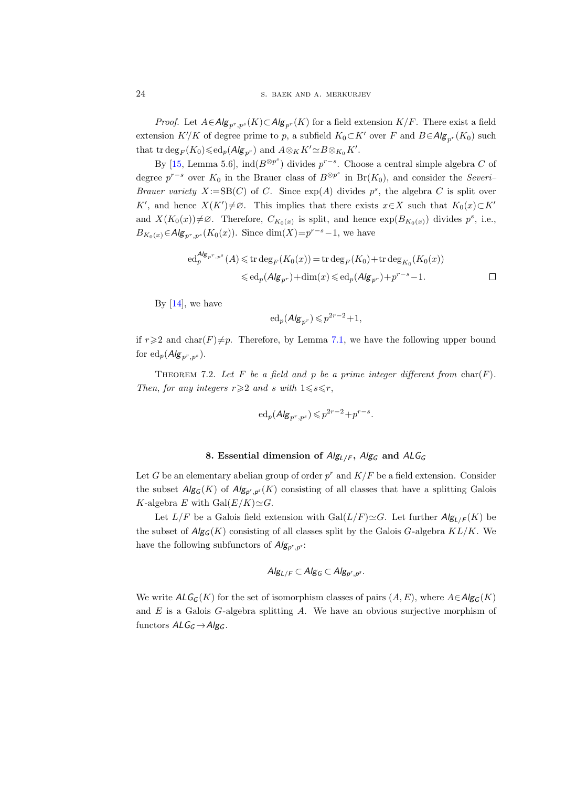*Proof.* Let  $A \in Alg_{p^r,p^s}(K) \subset Alg_{p^r}(K)$  for a field extension  $K/F$ . There exist a field extension  $K'/K$  of degree prime to p, a subfield  $K_0\subset K'$  over F and  $B\in Alg_{p^r}(K_0)$  such that  $\operatorname{trdeg}_F(K_0) \leq \operatorname{ed}_p(A/\mathbf{g}_{p^r})$  and  $A \otimes_K K' \simeq B \otimes_{K_0} K'.$ 

By [\[15,](#page-26-12) Lemma 5.6],  $\text{ind}(B^{\otimes p^s})$  divides  $p^{r-s}$ . Choose a central simple algebra C of degree  $p^{r-s}$  over  $K_0$  in the Brauer class of  $B^{\otimes p^s}$  in  $Br(K_0)$ , and consider the Severi– *Brauer variety*  $X := SB(C)$  of C. Since  $exp(A)$  divides  $p^s$ , the algebra C is split over K', and hence  $X(K')\neq\emptyset$ . This implies that there exists  $x\in X$  such that  $K_0(x)\subset K'$ and  $X(K_0(x))\neq\emptyset$ . Therefore,  $C_{K_0(x)}$  is split, and hence  $\exp(B_{K_0(x)})$  divides  $p^s$ , i.e.,  $B_{K_0(x)} \in \mathcal{A/g}_{p^r, p^s}(K_0(x))$ . Since  $dim(X) = p^{r-s}-1$ , we have

$$
\begin{aligned} \mathrm{ed}_{p}^{\mathcal{A}\mid g_{p^r,p^s}}(A) \leqslant \mathrm{tr} \deg_F(K_0(x)) &= \mathrm{tr} \deg_F(K_0) + \mathrm{tr} \deg_{K_0}(K_0(x)) \\ &\leqslant \mathrm{ed}_p(\mathcal{A}\mid g_{p^r}) + \dim(x) \leqslant \mathrm{ed}_p(\mathcal{A}\mid g_{p^r}) + p^{r-s} - 1. \end{aligned} \qquad \qquad \square
$$

By  $[14]$ , we have

$$
ed_p(\mathsf{Alg}_{p^r}) \leqslant p^{2r-2} + 1,
$$

if  $r\geqslant 2$  and char(F) $\neq p$ . Therefore, by Lemma [7.1,](#page-22-3) we have the following upper bound for  $ed_p(\mathcal{A/g}_{p^r,p^s}).$ 

THEOREM 7.2. Let F be a field and p be a prime integer different from  $char(F)$ . Then, for any integers  $r \geqslant 2$  and s with  $1 \leqslant s \leqslant r$ ,

$$
\mathrm{ed}_p(\mathcal{A}/\mathbf{g}_{p^r,p^s}) \leqslant p^{2r-2} + p^{r-s}.
$$

### 8. Essential dimension of  $Alg_{L/F}$ ,  $Alg_G$  and  $ALG_G$

<span id="page-23-0"></span>Let G be an elementary abelian group of order  $p^r$  and  $K/F$  be a field extension. Consider the subset  $Alg_G(K)$  of  $Alg_{p',p^s}(K)$  consisting of all classes that have a splitting Galois K-algebra E with  $Gal(E/K)\simeq G$ .

Let  $L/F$  be a Galois field extension with  $Gal(L/F) \simeq G$ . Let further  $Alg_{L/F}(K)$  be the subset of  $Alg_G(K)$  consisting of all classes split by the Galois G-algebra  $KL/K$ . We have the following subfunctors of  $Alg_{p^r,p^s}$ :

$$
Alg_{L/F} \subset Alg_G \subset Alg_{p^r,p^s}.
$$

<span id="page-23-1"></span>We write  $ALG<sub>G</sub>(K)$  for the set of isomorphism classes of pairs  $(A, E)$ , where  $A \in Alg<sub>G</sub>(K)$ and  $E$  is a Galois  $G$ -algebra splitting  $A$ . We have an obvious surjective morphism of functors  $ALG_G \rightarrow Alg_G$ .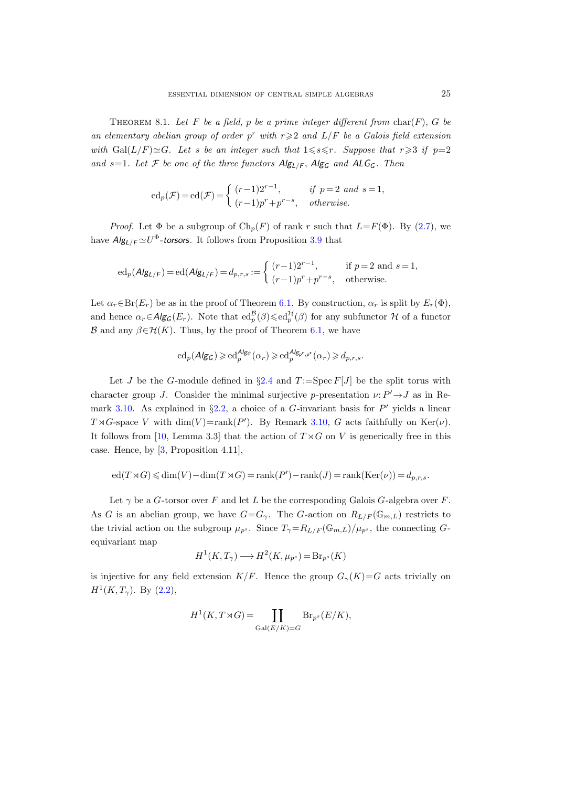THEOREM 8.1. Let F be a field, p be a prime integer different from  $char(F)$ , G be an elementary abelian group of order  $p^r$  with  $r \geqslant 2$  and  $L/F$  be a Galois field extension with  $Gal(L/F) \cong G$ . Let s be an integer such that  $1 \leq s \leq r$ . Suppose that  $r \geq 3$  if  $p=2$ and s=1. Let F be one of the three functors  $\mathsf{Alg}_{\mathsf{L}/\mathsf{F}}$ ,  $\mathsf{Alg}_{\mathsf{G}}$  and  $\mathsf{ALG}_{\mathsf{G}}$ . Then

$$
\mathrm{ed}_p(\mathcal{F}) = \mathrm{ed}(\mathcal{F}) = \begin{cases} (r-1)2^{r-1}, & \text{if } p=2 \text{ and } s=1, \\ (r-1)p^r + p^{r-s}, & \text{otherwise.} \end{cases}
$$

*Proof.* Let  $\Phi$  be a subgroup of  $\text{Ch}_p(F)$  of rank r such that  $L = F(\Phi)$ . By [\(2.7\)](#page-8-0), we have  $Alg_{L/F} \simeq U^{\Phi}$ -torsors. It follows from Proposition [3.9](#page-11-2) that

$$
\mathrm{ed}_p(\mathcal{A}\mathsf{I}\mathsf{g}_{\mathsf{L}/\mathsf{F}})=\mathrm{ed}(\mathcal{A}\mathsf{I}\mathsf{g}_{\mathsf{L}/\mathsf{F}})=d_{p,r,s}:=\left\{\begin{array}{ll} (r-1)2^{r-1}, & \text{if } p=2 \text{ and } s=1,\\ (r-1)p^r+p^{r-s}, & \text{otherwise.} \end{array}\right.
$$

Let  $\alpha_r \in Br(E_r)$  be as in the proof of Theorem [6.1.](#page-21-1) By construction,  $\alpha_r$  is split by  $E_r(\Phi)$ , and hence  $\alpha_r \in \mathcal{A} \mathcal{L}_G(E_r)$ . Note that  $ed_p^{\mathcal{B}}(\beta) \leq ed_p^{\mathcal{H}}(\beta)$  for any subfunctor  $\mathcal{H}$  of a functor  $\mathcal B$  and any  $\beta \in \mathcal H(K)$ . Thus, by the proof of Theorem [6.1,](#page-21-1) we have

$$
\mathrm{ed}_p(\mathsf{Alg}_\mathsf{G})\geqslant \mathrm{ed}_p^{\mathsf{Alg_G}}(\alpha_r)\geqslant \mathrm{ed}_p^{\mathsf{Alg}_{p^r,p^s}}(\alpha_r)\geqslant d_{p,r,s}.
$$

Let J be the G-module defined in  $\S 2.4$  $\S 2.4$  and  $T := \text{Spec } F[J]$  be the split torus with character group J. Consider the minimal surjective p-presentation  $\nu: P' \rightarrow J$  as in Re-mark [3.10.](#page-12-2) As explained in  $\S 2.2$ , a choice of a G-invariant basis for P' yields a linear  $T \rtimes G$ -space V with  $\dim(V) = \text{rank}(P')$ . By Remark [3.10,](#page-12-2) G acts faithfully on  $\text{Ker}(\nu)$ . It follows from [\[10,](#page-26-11) Lemma 3.3] that the action of  $T \rtimes G$  on V is generically free in this case. Hence, by [\[3,](#page-25-0) Proposition 4.11],

$$
ed(T \rtimes G) \leq dim(V) - dim(T \rtimes G) = rank(P') - rank(J) = rank(Ker(\nu)) = d_{p,r,s}.
$$

Let  $\gamma$  be a G-torsor over F and let L be the corresponding Galois G-algebra over F. As G is an abelian group, we have  $G=G_{\gamma}$ . The G-action on  $R_{L/F}(\mathbb{G}_{m,L})$  restricts to the trivial action on the subgroup  $\mu_{p^s}$ . Since  $T_{\gamma} = R_{L/F}(\mathbb{G}_{m,L})/\mu_{p^s}$ , the connecting Gequivariant map

$$
H^1(K, T_\gamma) \longrightarrow H^2(K, \mu_{p^s}) = \text{Br}_{p^s}(K)
$$

is injective for any field extension  $K/F$ . Hence the group  $G_{\gamma}(K)=G$  acts trivially on  $H^1(K, T_\gamma)$ . By  $(2.2)$ ,

$$
H^1(K, T \rtimes G) = \coprod_{\text{Gal}(E/K) = G} \text{Br}_{p^s}(E/K),
$$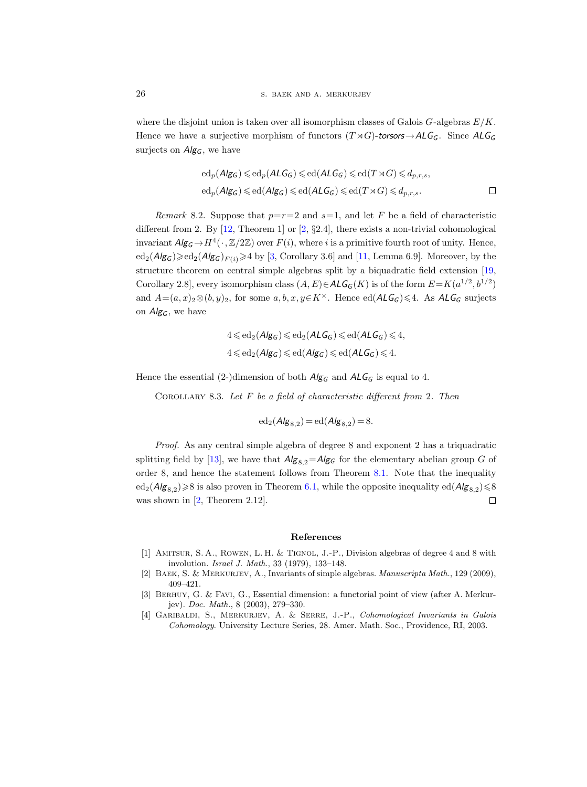where the disjoint union is taken over all isomorphism classes of Galois  $G$ -algebras  $E/K$ . Hence we have a surjective morphism of functors  $(T \rtimes G)$ -torsors  $\rightarrow ALG_G$ . Since  $ALG_G$ surjects on  $Alg_G$ , we have

$$
ed_p(\mathit{Alg}_\mathcal{G}) \leqslant ed_p(\mathit{ALG}_\mathcal{G}) \leqslant ed(\mathit{ALG}_\mathcal{G}) \leqslant ed(T \rtimes G) \leqslant d_{p,r,s},
$$
  

$$
ed_p(\mathit{Alg}_\mathcal{G}) \leqslant ed(\mathit{Alg}_\mathcal{G}) \leqslant ed(\mathit{ALG}_\mathcal{G}) \leqslant ed(T \rtimes G) \leqslant d_{p,r,s}.
$$

<span id="page-25-1"></span>Remark 8.2. Suppose that  $p=r=2$  and  $s=1$ , and let F be a field of characteristic different from 2. By  $[12,$  Theorem 1 or  $[2, \S2.4]$ , there exists a non-trivial cohomological invariant  $Alg_G \to H^4(\cdot, \mathbb{Z}/2\mathbb{Z})$  over  $F(i)$ , where i is a primitive fourth root of unity. Hence,  $ed_2(A\ell g_G) \geqslant ed_2(A\ell g_G)_{F(i)} \geqslant 4$  by [\[3,](#page-25-0) Corollary 3.6] and [\[11,](#page-26-1) Lemma 6.9]. Moreover, by the structure theorem on central simple algebras split by a biquadratic field extension [\[19,](#page-26-14) Corollary 2.8, every isomorphism class  $(A, E) \in \mathcal{ALG}_{G}(K)$  is of the form  $E = K(a^{1/2}, b^{1/2})$ and  $A=(a, x)_2 \otimes (b, y)_2$ , for some  $a, b, x, y \in K^{\times}$ . Hence ed( $ALG_G$ )  $\leq 4$ . As  $ALG_G$  surjects on  $Alg_G$ , we have

$$
4 \leqslant \mathrm{ed}_2(\mathit{Alg}_G) \leqslant \mathrm{ed}_2(\mathit{ALG}_G) \leqslant \mathrm{ed}(\mathit{ALG}_G) \leqslant 4,
$$
  

$$
4 \leqslant \mathrm{ed}_2(\mathit{Alg}_G) \leqslant \mathrm{ed}(\mathit{Alg}_G) \leqslant \mathrm{ed}(\mathit{ALG}_G) \leqslant 4.
$$

Hence the essential (2-)dimension of both  $Alg_G$  and  $ALG_G$  is equal to 4.

COROLLARY 8.3. Let  $F$  be a field of characteristic different from 2. Then

$$
\mathrm{ed}_2(\mathcal{A/g}_{8,2}) = \mathrm{ed}(\mathcal{A/g}_{8,2}) = 8.
$$

Proof. As any central simple algebra of degree 8 and exponent 2 has a triquadratic splitting field by [\[13\]](#page-26-15), we have that  $Alg_{8,2}=Alg_{G}$  for the elementary abelian group G of order 8, and hence the statement follows from Theorem [8.1.](#page-23-1) Note that the inequality  $\text{ed}_2(\text{Alg}_{8,2}) \geq 8$  is also proven in Theorem [6.1,](#page-21-1) while the opposite inequality  $\text{ed}(\text{Alg}_{8,2}) \leq 8$ was shown in [\[2,](#page-25-4) Theorem 2.12].  $\Box$ 

#### References

- <span id="page-25-2"></span>[1] Amitsur, S. A., Rowen, L. H. & Tignol, J.-P., Division algebras of degree 4 and 8 with involution. Israel J. Math., 33 (1979), 133–148.
- <span id="page-25-4"></span>[2] BAEK, S. & MERKURJEV, A., Invariants of simple algebras. Manuscripta Math., 129 (2009), 409–421.
- <span id="page-25-0"></span>[3] Berhuy, G. & Favi, G., Essential dimension: a functorial point of view (after A. Merkurjev). Doc. Math., 8 (2003), 279–330.
- <span id="page-25-3"></span>[4] Garibaldi, S., Merkurjev, A. & Serre, J.-P., Cohomological Invariants in Galois Cohomology. University Lecture Series, 28. Amer. Math. Soc., Providence, RI, 2003.